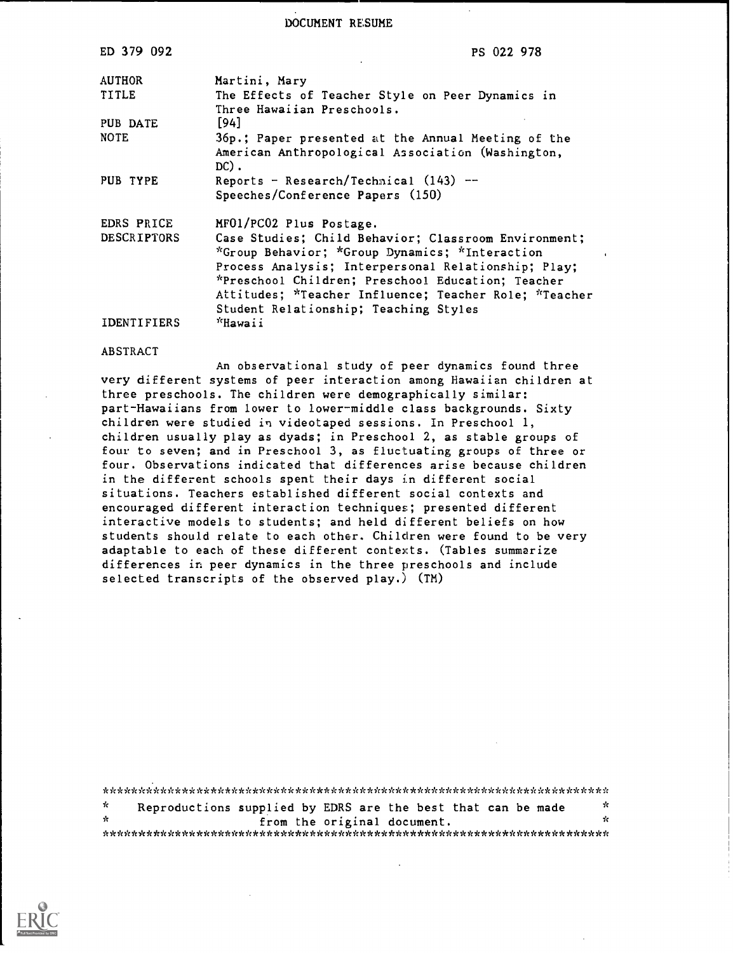DOCUMENT RESUME

| ED 379 092         | PS 022 978                                                                                                                                                                                                                                                                                                           |
|--------------------|----------------------------------------------------------------------------------------------------------------------------------------------------------------------------------------------------------------------------------------------------------------------------------------------------------------------|
| <b>AUTHOR</b>      | Martini, Mary                                                                                                                                                                                                                                                                                                        |
| TITLE              | The Effects of Teacher Style on Peer Dynamics in<br>Three Hawaiian Preschools.                                                                                                                                                                                                                                       |
| PUB DATE           | [94]                                                                                                                                                                                                                                                                                                                 |
| <b>NOTE</b>        | 36p.; Paper presented at the Annual Meeting of the<br>American Anthropological Association (Washington,<br>$DC$ ).                                                                                                                                                                                                   |
| PUB TYPE           | Reports - Research/Technical $(143)$ --<br>Speeches/Conference Papers (150)                                                                                                                                                                                                                                          |
| EDRS PRICE         | MF01/PC02 Plus Postage.                                                                                                                                                                                                                                                                                              |
| <b>DESCRIPTORS</b> | Case Studies; Child Behavior; Classroom Environment;<br>*Group Behavior; *Group Dynamics; *Interaction<br>Process Analysis; Interpersonal Relationship; Play;<br>*Preschool Children; Preschool Education; Teacher<br>Attitudes; *Teacher Influence; Teacher Role; *Teacher<br>Student Relationship; Teaching Styles |
| <b>IDENTIFIERS</b> | "Hawaii                                                                                                                                                                                                                                                                                                              |

### ABSTRACT

An observational study of peer dynamics found three very different systems of peer interaction among Hawaiian children at three preschools. The children were demographically similar: part-Hawaiians from lower to lower-middle class backgrounds. Sixty children were studied in videotaped sessions. In Preschool 1, children usually play as dyads; in Preschool 2, as stable groups of four to seven; and in Preschool 3, as fluctuating groups of three or four. Observations indicated that differences arise because children in the different schools spent their days in different social situations. Teachers established different social contexts and encouraged different interaction techniques; presented different interactive models to students; and held different beliefs on how students should relate to each other. Children were found to be very adaptable to each of these different contexts. (Tables summarize differences in peer dynamics in the three preschools and include selected transcripts of the observed play.) (TM)

\*\*\*\*\*\*\*\*\*\*\*\*\*\*\*\*\*\*\*\*\*\*\*\*\*\*\*\*\*\*\*\*\*\*\*\*\*\*\*\*\*\*\*\*\*\*\*\*\*\*\*\*\*\*\*\*\*\*\*\*\*\*\*\*\*\*\*\*\*\*\*  $\dot{\mathbf{x}}$ Reproductions supplied by EDRS are the best that can be made  $\frac{x}{x}$ from the original document. \*\*\*\*\*\*\*\*\*\*\*\*\*\*\*\*\*\*\*\*\*\*\*\*\*\*\*\*\*\*\*\*\*\*\*\*\*\*\*\*\*\*\*\*\*\*\*\*\*\*\*\*\*\*\*\*\*\*\*\*\*\*\*\*\*\*\*\*\*\*\*

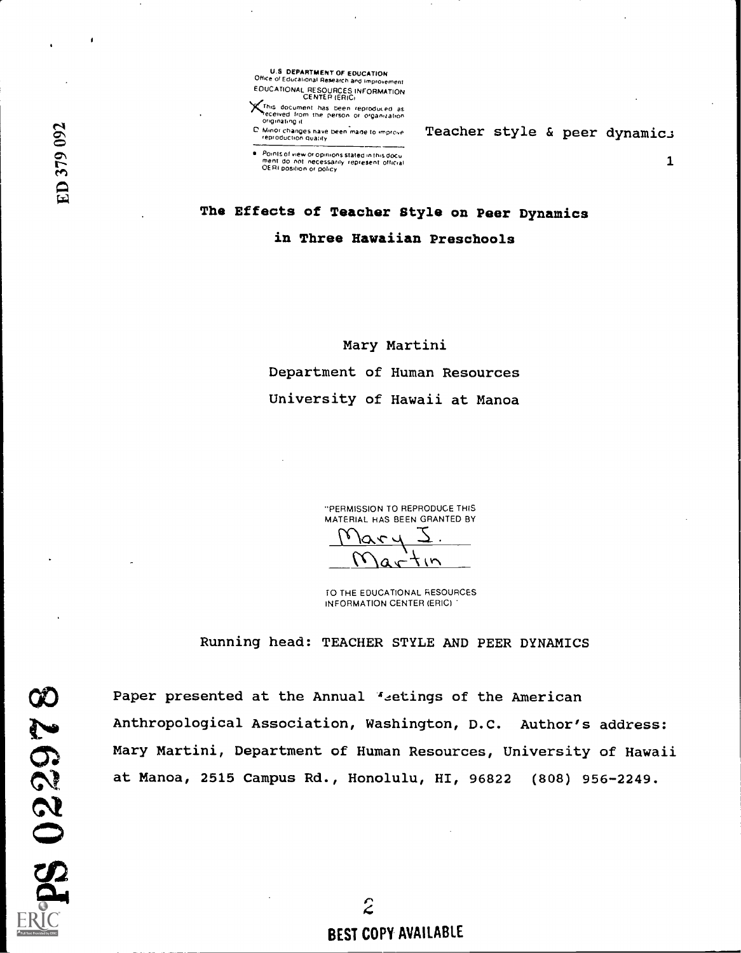U.S. DEPARTMENT OF EDUCATION<br>Office of Educational Research and improvement EDUCATIONAL RESOURCES INFORMATION

CENTER (ERIC)<br>CENTER (ERIC)<br>Mecewed from the person or organization<br>originating it

C. Minor changes have been made to improve

Teacher style & peer dynamics

**Pomis of new original stated in Ihis docu<br>
Poent do not necessarily represent official**<br>
OERI position or policy

The Effects of Teacher Style on Peer Dynamics in Three Hawaiian Preschools

> Mary Martini Department of Human Resources University of Hawaii at Manoa

> > "PERMISSION TO REPRODUCE THIS MATERIAL HAS BEEN GRANTED BY GRANTED BY<br><u>S</u>

 $Maxtin$ TO THE EDUCATIONAL RESOURCES

Running head: TEACHER STYLE AND PEER DYNAMICS

INFORMATION CENTER (ERIC)

Paper presented at the Annual "etings of the American Paper presented at the Annual <sup>4</sup>-etings of the American<br>Anthropological Association, Washington, D.C. Author's address:<br>Mary Martini, Department of Human Resources, University of Hawai<br>at Manoa, 2515 Campus Rd., Honolulu, Mary Martini, Department of Human Resources, University of Hawaii at Manoa, 2515 Campus Rd., Honolulu, HI, 96822 (808) 956-2249.

> $\hat{z}$ BEST COPY AVAILABLE

 $\mathbf{z}$ en  $\mathbb{Z}$  , where  $\mathbb{Z}$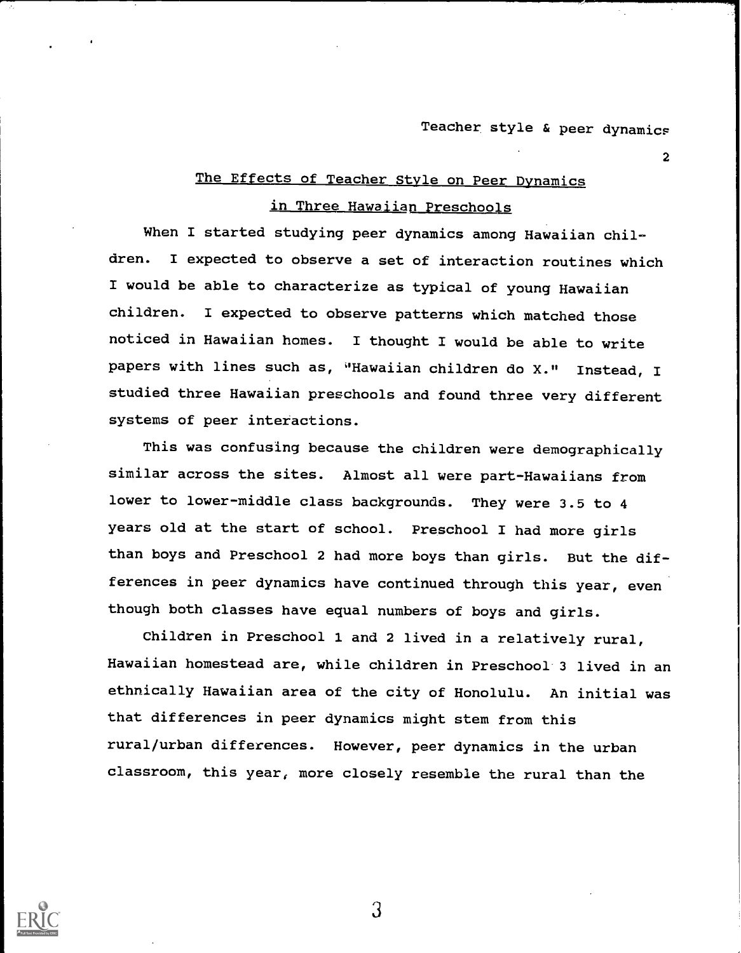$\mathbf{z}$  and  $\mathbf{z}$ 

# The Effects of Teacher Style on Peer Dynamics

# in Three Hawaiian Preschools

When I started studying peer dynamics among Hawaiian children. I expected to observe a set of interaction routines which I would be able to characterize as typical of young Hawaiian children. I expected to observe patterns which matched those noticed in Hawaiian homes. I thought I would be able to write papers with lines such as, 'Hawaiian children do X." Instead, I studied three Hawaiian preschools and found three very different systems of peer interactions.

This was confusing because the children were demographically similar across the sites. Almost all were part-Hawaiians from lower to lower-middle class backgrounds. They were 3.5 to 4 years old at the start of school. Preschool I had more girls than boys and Preschool 2 had more boys than girls. But the differences in peer dynamics have continued through this year, even though both classes have equal numbers of boys and girls.

Children in Preschool 1 and 2 lived in a relatively rural, Hawaiian homestead are, while children in Preschool 3 lived in an ethnically Hawaiian area of the city of Honolulu. An initial was that differences in peer dynamics might stem from this rural/urban differences. However, peer dynamics in the urban classroom, this year, more closely resemble the rural than the

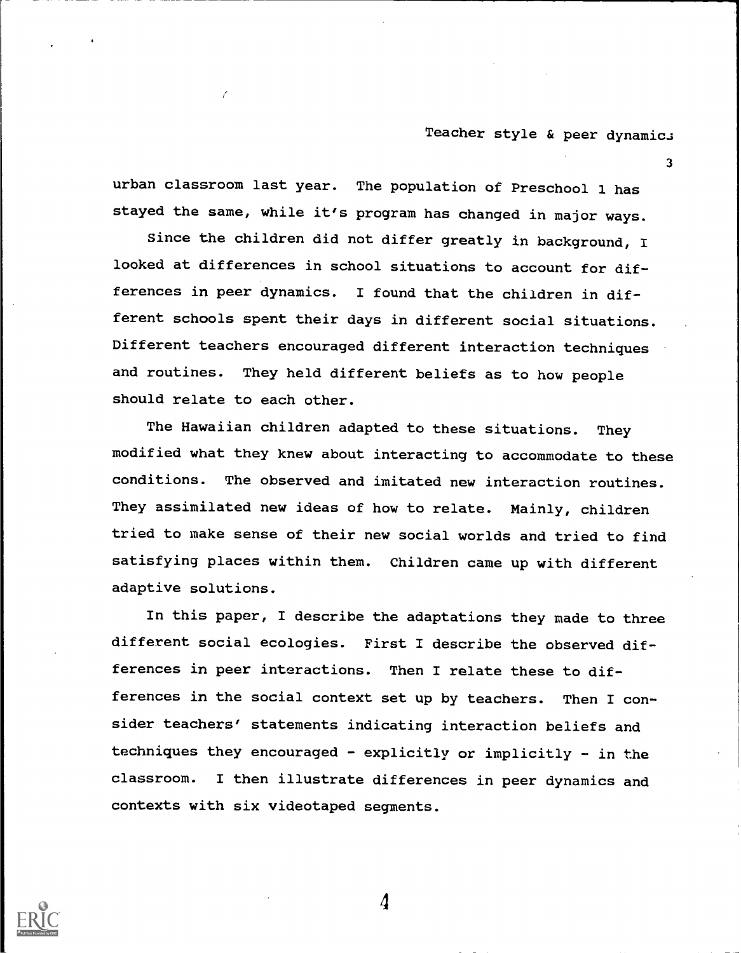3

urban classroom last year. The population of Preschool 1 has stayed the same, while it's program has changed in major ways.

Since the children did not differ greatly in background, I looked at differences in school situations to account for differences in peer dynamics. I found that the children in different schools spent their days in different social situations. Different teachers encouraged different interaction techniques and routines. They held different beliefs as to how people should relate to each other.

The Hawaiian children adapted to these situations. They modified what they knew about interacting to accommodate to these conditions. The observed and imitated new interaction routines. They assimilated new ideas of how to relate. Mainly, children tried to make sense of their new social worlds and tried to find satisfying places within them. Children came up with different adaptive solutions.

In this paper, I describe the adaptations they made to three different social ecologies. First I describe the observed differences in peer interactions. Then I relate these to differences in the social context set up by teachers. Then I consider teachers' statements indicating interaction beliefs and techniques they encouraged - explicitly or implicitly - in the classroom. I then illustrate differences in peer dynamics and contexts with six videotaped segments.

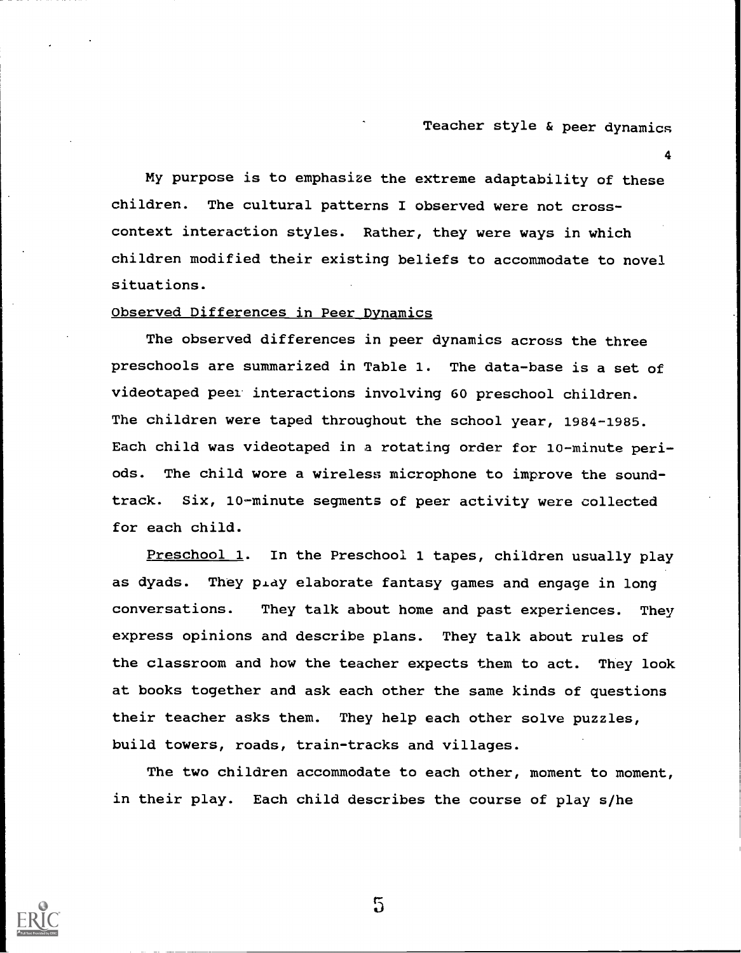4

My purpose is to emphasize the extreme adaptability of these children. The cultural patterns I observed were not crosscontext interaction styles. Rather, they were ways in which children modified their existing beliefs to accommodate to novel situations.

### Observed Differences in Peer Dynamics

The observed differences in peer dynamics across the three preschools are summarized in Table 1. The data-base is a set of videotaped peel interactions involving 60 preschool children. The children were taped throughout the school year, 1984-1985. Each child was videotaped in a rotating order for 10-minute periods. The child wore a wireless microphone to improve the soundtrack. Six, 10-minute segments of peer activity were collected for each child.

Preschool 1. In the Preschool 1 tapes, children usually play as dyads. They pray elaborate fantasy games and engage in long conversations. They talk about home and past experiences. They express opinions and describe plans. They talk about rules of the classroom and how the teacher expects them to act. They look at books together and ask each other the same kinds of questions their teacher asks them. They help each other solve puzzles, build towers, roads, train-tracks and villages.

The two children accommodate to each other, moment to moment, in their play. Each child describes the course of play s/he



 $\overline{5}$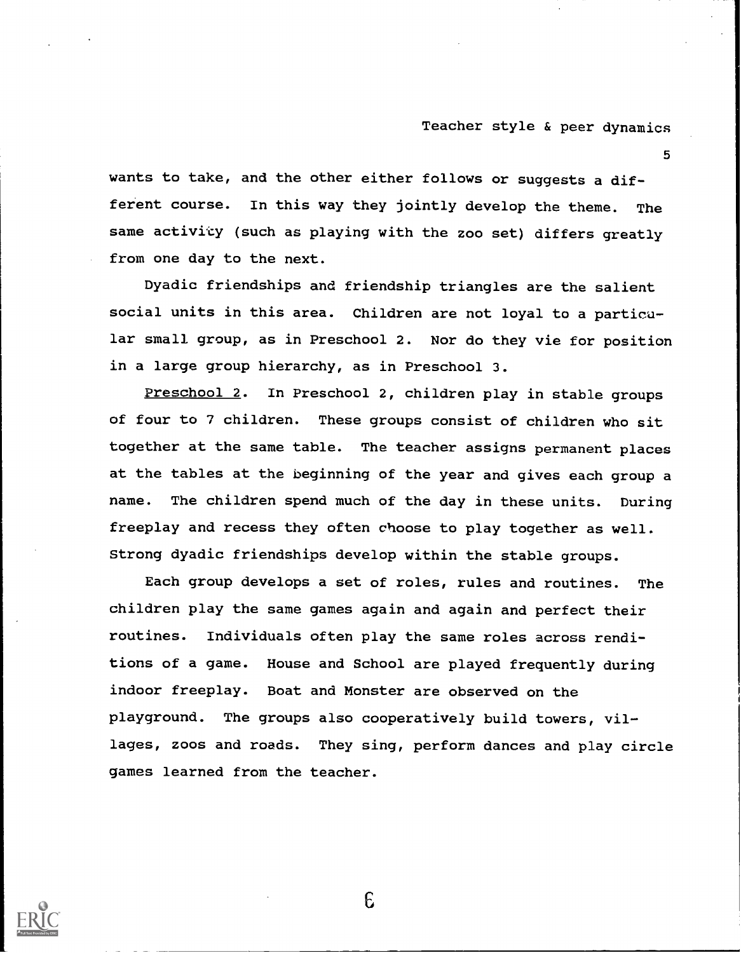5

wants to take, and the other either follows or suggests a different course. In this way they jointly develop the theme. The same activity (such as playing with the zoo set) differs greatly from one day to the next.

Dyadic friendships and friendship triangles are the salient social units in this area. Children are not loyal to a particular small group, as in Preschool 2. Nor do they vie for position in a large group hierarchy, as in Preschool 3.

Preschool 2. In Preschool 2, children play in stable groups of four to 7 children. These groups consist of children who sit together at the same table. The teacher assigns permanent places at the tables at the beginning of the year and gives each group a name. The children spend much of the day in these units. During freeplay and recess they often choose to play together as well. Strong dyadic friendships develop within the stable groups.

Each group develops a set of roles, rules and routines. The children play the same games again and again and perfect their routines. Individuals often play the same roles across renditions of a game. House and School are played frequently during indoor freeplay. Boat and Monster are observed on the playground. The groups also cooperatively build towers, villages, zoos and roads. They sing, perform dances and play circle games learned from the teacher.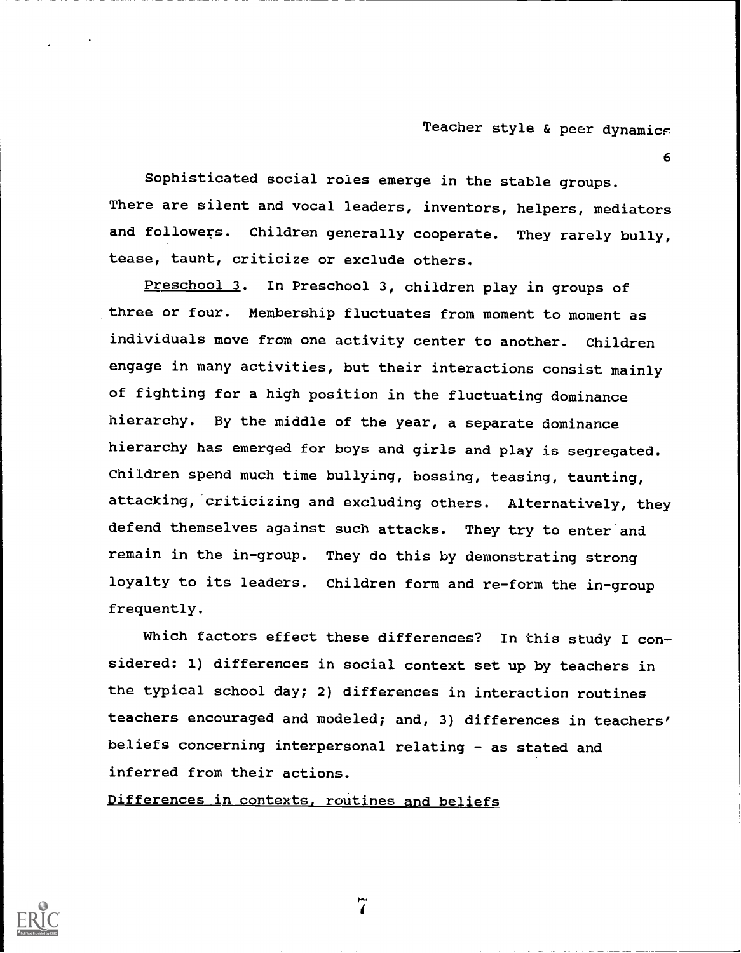6

Sophisticated social roles emerge in the stable groups. There are silent and vocal leaders, inventors, helpers, mediators and followers. Children generally cooperate. They rarely bully, tease, taunt, criticize or exclude others.

Preschool 3. In Preschool 3, children play in groups of three or four. Membership fluctuates from moment to moment as individuals move from one activity center to another. Children engage in many activities, but their interactions consist mainly of fighting for a high position in the fluctuating dominance hierarchy. By the middle of the year, a separate dominance hierarchy has emerged for boys and girls and play is segregated. Children spend much time bullying, bossing, teasing, taunting, attacking, criticizing and excluding others. Alternatively, they defend themselves against such attacks. They try to enter and remain in the in-group. They do this by demonstrating strong loyalty to its leaders. Children form and re-form the in-group frequently.

Which factors effect these differences? In this study I considered: 1) differences in social context set up by teachers in the typical school day; 2) differences in interaction routines teachers encouraged and modeled; and, 3) differences in teachers' beliefs concerning interpersonal relating - as stated and inferred from their actions.

Differences in contexts, routines and beliefs



 $\tilde{a}$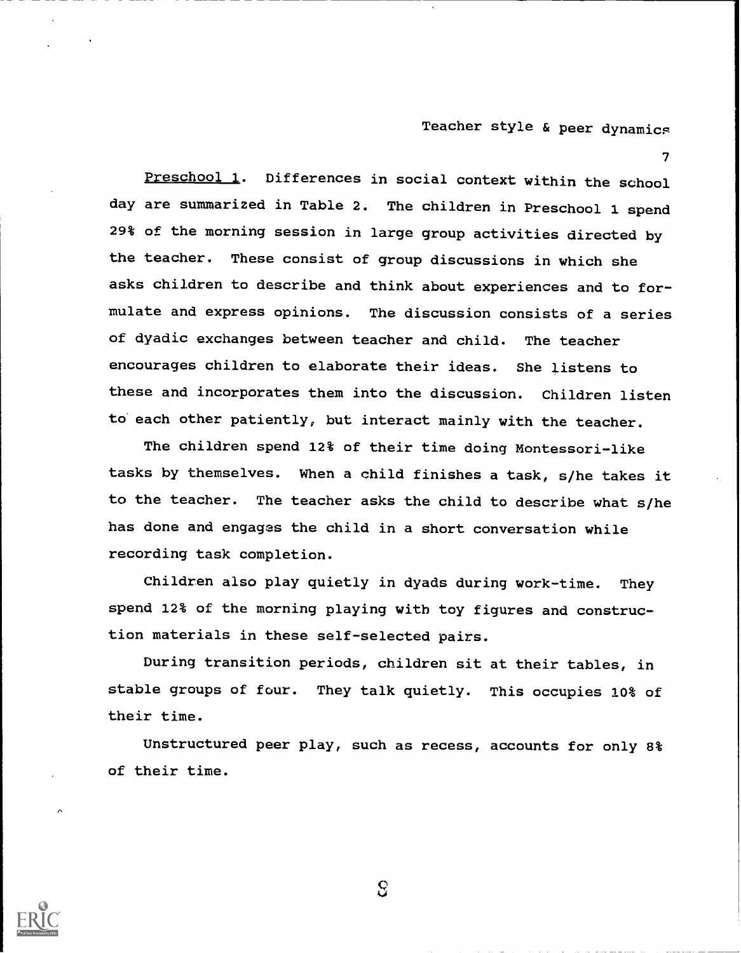7

Preschool 1. Differences in social context within the school day are summarized in Table 2. The children in Preschool 1 spend 29% of the morning session in large group activities directed by the teacher. These consist of group discussions in which she asks children to describe and think about experiences and to formulate and express opinions. The discussion consists of a series of dyadic exchanges between teacher and child. The teacher encourages children to elaborate their ideas. She listens to these and incorporates them into the discussion. Children listen to each other patiently, but interact mainly with the teacher.

The children spend 12% of their time doing Montessori-like tasks by themselves. When a child finishes a task, s/he takes it to the teacher. The teacher asks the child to describe what s/he has done and engages the child in a short conversation while recording task completion.

Children also play quietly in dyads during work-time. They spend 12% of the morning playing with toy figures and construction materials in these self-selected pairs.

During transition periods, children sit at their tables, in stable groups of four. They talk quietly. This occupies 10% of their time.

Unstructured peer play, such as recess, accounts for only 8% of their time.

 $\overline{S}$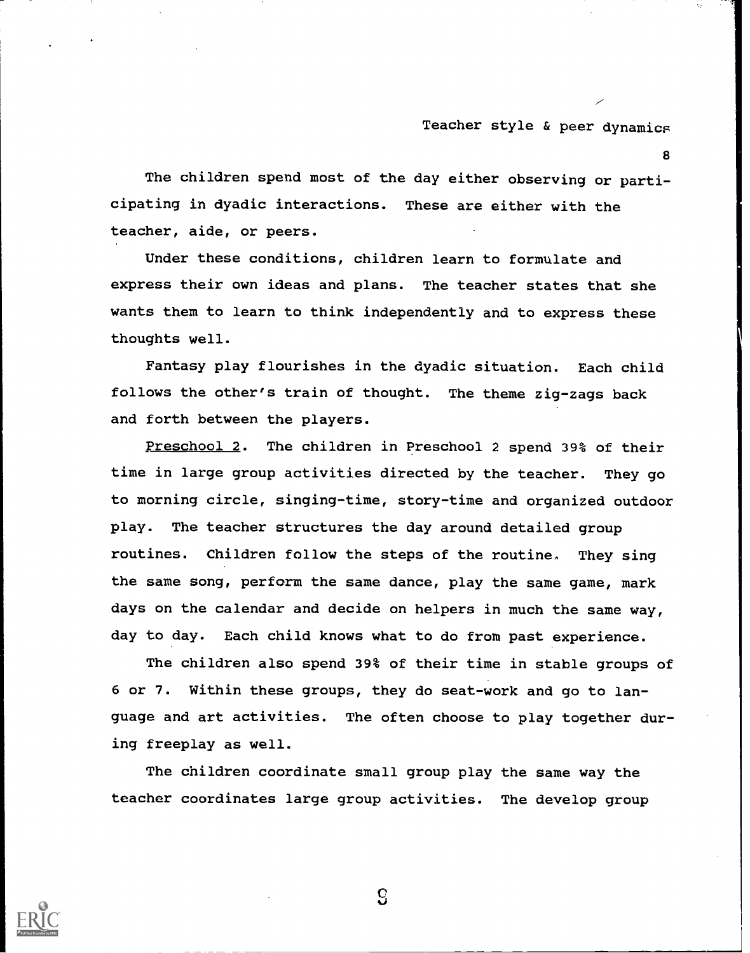8

The children spend most of the day either observing or participating in dyadic interactions. These are either with the teacher, aide, or peers.

Under these conditions, children learn to formulate and express their own ideas and plans. The teacher states that she wants them to learn to think independently and to express these thoughts well.

Fantasy play flourishes in the dyadic situation. Each child follows the other's train of thought. The theme zig-zags back and forth between the players.

Preschool 2. The children in Preschool 2 spend 39% of their time in large group activities directed by the teacher. They go to morning circle, singing-time, story-time and organized outdoor play. The teacher structures the day around detailed group routines. Children follow the steps of the routine. They sing the same song, perform the same dance, play the same game, mark days on the calendar and decide on helpers in much the same way, day to day. Each child knows what to do from past experience.

The children also spend 39% of their time in stable groups of 6 or 7. Within these groups, they do seat-work and go to language and art activities. The often choose to play together during freeplay as well.

The children coordinate small group play the same way the teacher coordinates large group activities. The develop group



 $\mathbf{c}$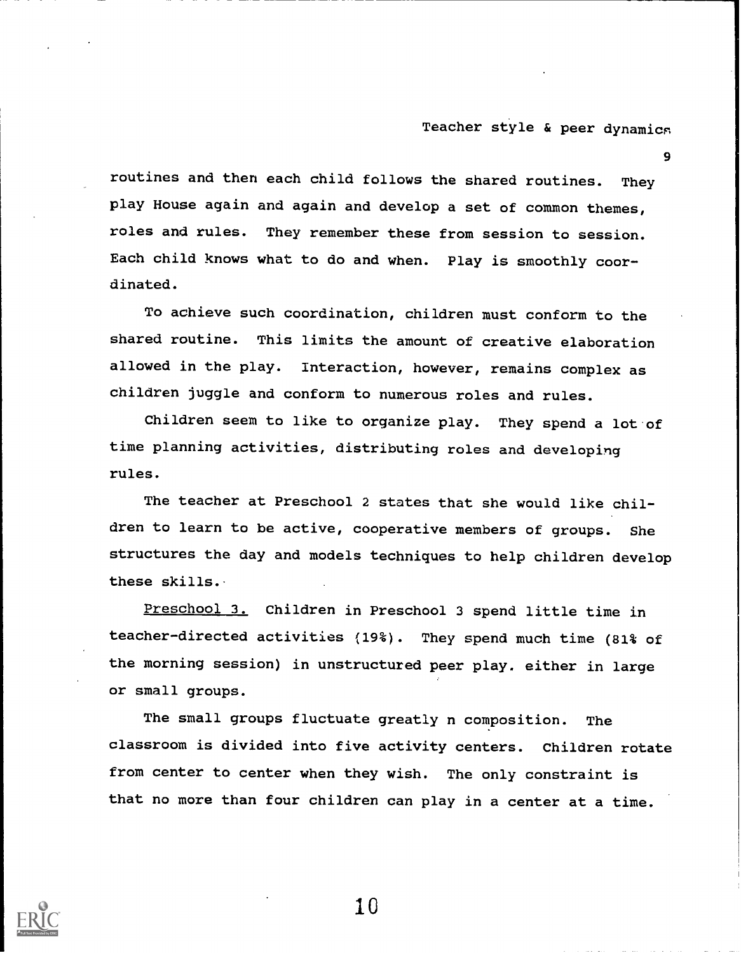9

routines and then each child follows the shared routines. They play House again and again and develop a set of common themes, roles and rules. They remember these from session to session. Each child knows what to do and when. Play is smoothly coordinated.

To achieve such coordination, children must conform to the shared routine. This limits the amount of creative elaboration allowed in the play. Interaction, however, remains complex as children juggle and conform to numerous roles and rules.

Children seem to like to organize play. They spend a lot of time planning activities, distributing roles and developing rules.

The teacher at Preschool 2 states that she would like children to learn to be active, cooperative members of groups. She structures the day and models techniques to help children develop these skills.

Preschool 3. Children in Preschool 3 spend little time in teacher-directed activities (19%). They spend much time (81% of the morning session) in unstructured peer play. either in large or small groups.

The small groups fluctuate greatly n composition. The classroom is divided into five activity centers. Children rotate from center to center when they wish. The only constraint is that no more than four children can play in a center at a time.

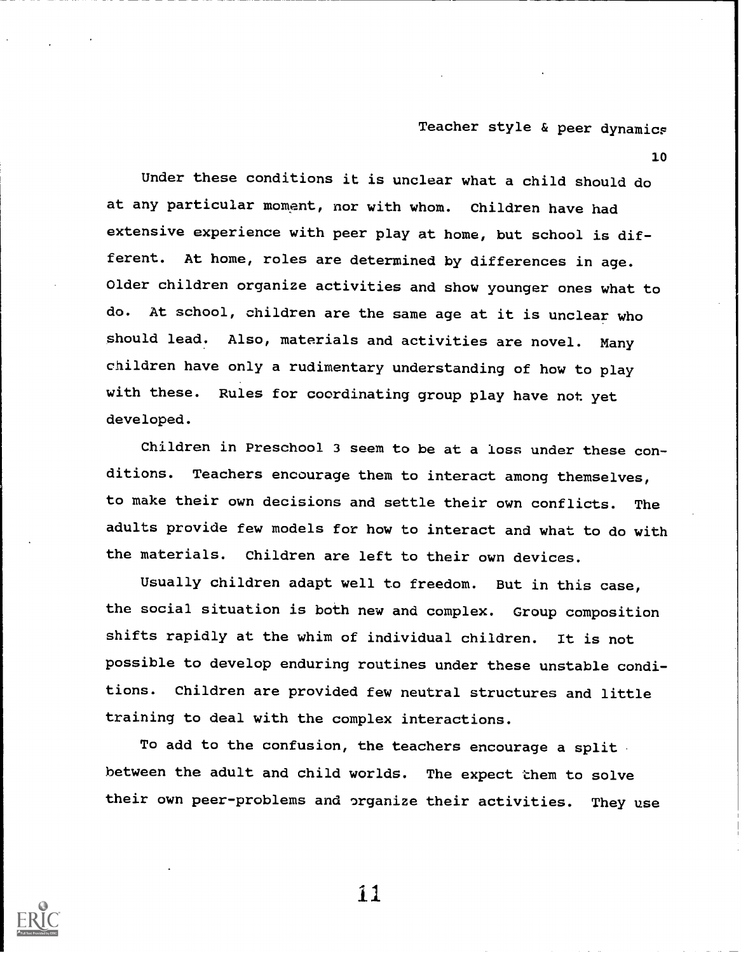10

Under these conditions it is unclear what a child should do at any particular moment, nor with whom. Children have had extensive experience with peer play at home, but school is different. At home, roles are determined by differences in age. Older children organize activities and show younger ones what to do. At school, children are the same age at it is unclear who should lead. Also, materials and activities are novel. Many children have only a rudimentary understanding of how to play with these. Rules for coordinating group play have not yet developed.

Children in Preschool 3 seem to be at a loss under these conditions. Teachers encourage them to interact among themselves, to make their own decisions and settle their own conflicts. The adults provide few models for how to interact and what to do with the materials. Children are left to their own devices.

Usually children adapt well to freedom. But in this case, the social situation is both new and complex. Group composition shifts rapidly at the whim of individual children. It is not possible to develop enduring routines under these unstable conditions. Children are provided few neutral structures and little training to deal with the complex interactions.

To add to the confusion, the teachers encourage a split between the adult and child worlds. The expect them to solve their own peer-problems and organize their activities. They use



ii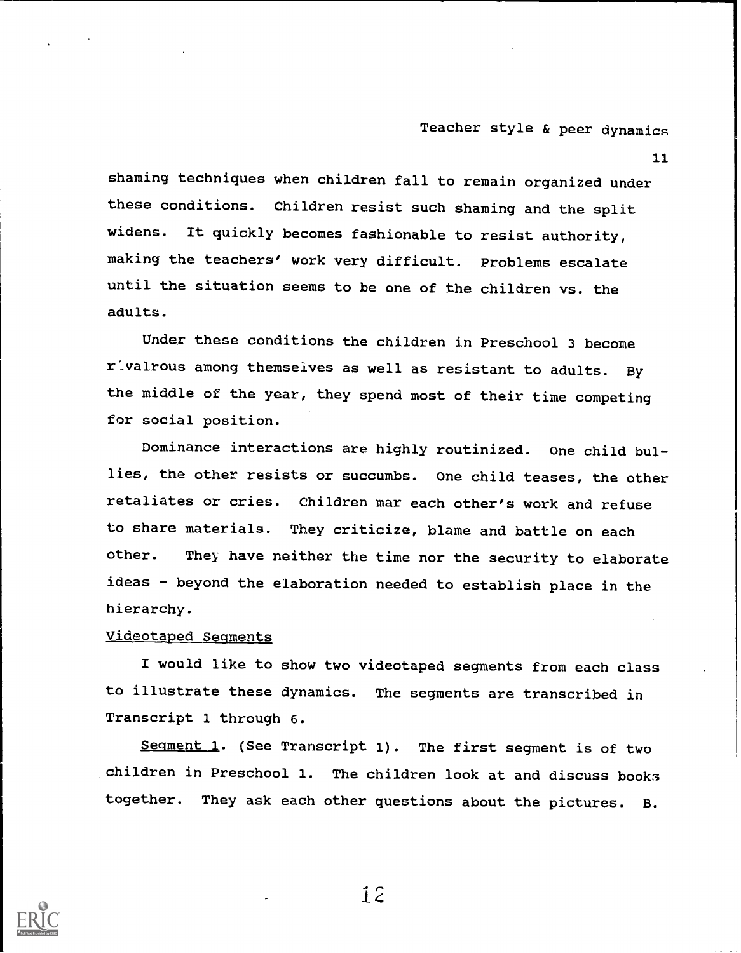11

shaming techniques when children fall to remain organized under these conditions. Children resist such shaming and the split widens. It quickly becomes fashionable to resist authority, making the teachers' work very difficult. Problems escalate until the situation seems to be one of the children vs. the adults.

Under these conditions the children in Preschool 3 become rivalrous among themselves as well as resistant to adults. By the middle of the year, they spend most of their time competing for social position.

Dominance interactions are highly routinized. One child bullies, the other resists or succumbs. One child teases, the other retaliates or cries. Children mar each other's work and refuse to share materials. They criticize, blame and battle on each other. They have neither the time nor the security to elaborate ideas - beyond the elaboration needed to establish place in the hierarchy.

### Videotaped Segments

I would like to show two videotaped segments from each class to illustrate these dynamics. The segments are transcribed in Transcript 1 through 6.

Seqment 1. (See Transcript 1). The first segment is of two children in Preschool 1. The children look at and discuss books together. They ask each other questions about the pictures. B.

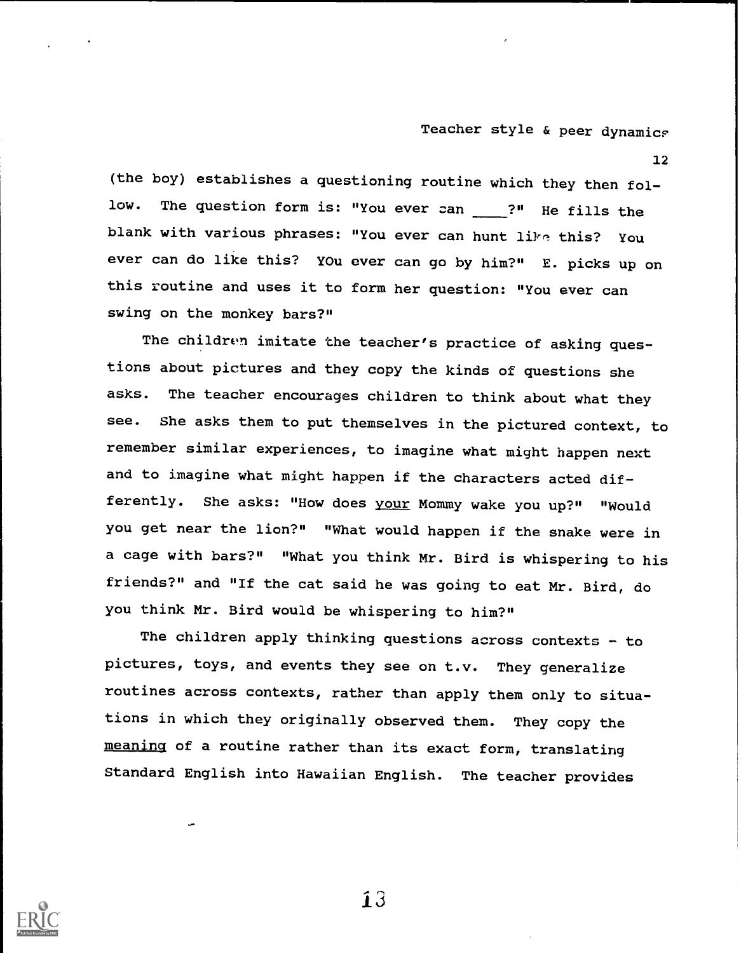12

(the boy) establishes a questioning routine which they then follow. The question form is: "You ever zan \_\_\_\_?" He fills the blank with various phrases: "You ever can hunt like this? You ever can do like this? YOu ever can go by him?" E. picks up on this routine and uses it to form her question: "You ever can swing on the monkey bars?"

The children imitate the teacher's practice of asking questions about pictures and they copy the kinds of questions she asks. The teacher encourages children to think about what they see. She asks them to put themselves in the pictured context, to remember similar experiences, to imagine what might happen next and to imagine what might happen if the characters acted differently. She asks: "How does your Mommy wake you up?" "Would you get near the lion?" "What would happen if the snake were in a cage with bars?" "What you think Mr. Bird is whispering to his friends?" and "If the cat said he was going to eat Mr. Bird, do you think Mr. Bird would be whispering to him?"

The children apply thinking questions across contexts - to pictures, toys, and events they see on t.v. They generalize routines across contexts, rather than apply them only to situations in which they originally observed them. They copy the meaning of a routine rather than its exact form, translating Standard English into Hawaiian English. The teacher provides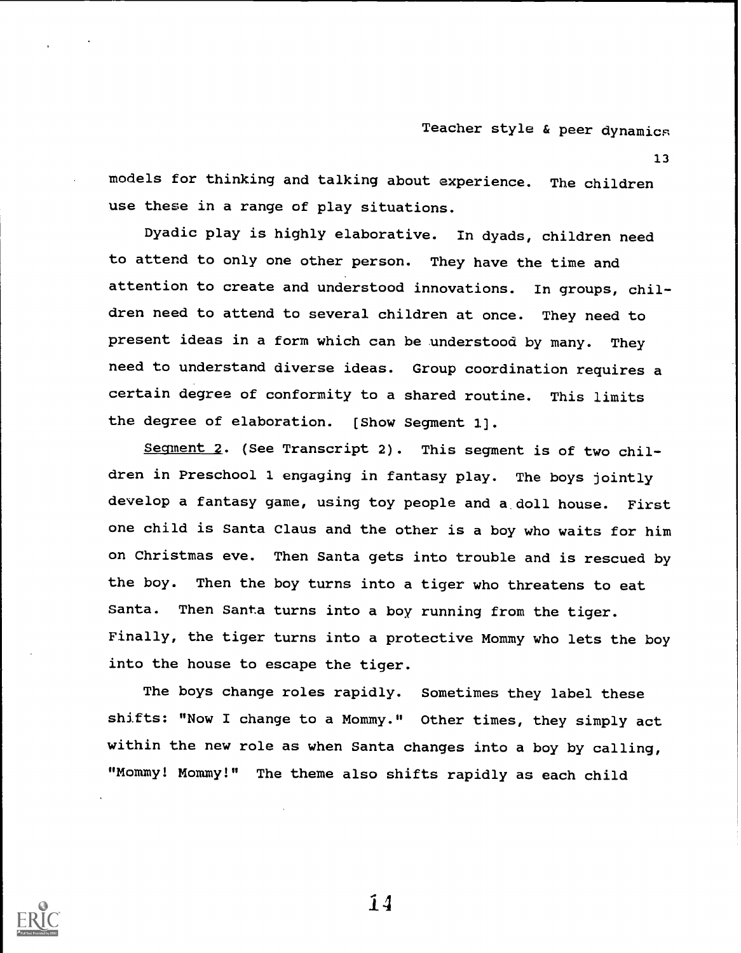13

models for thinking and talking about experience. The children use these in a range of play situations.

Dyadic play is highly elaborative. In dyads, children need to attend to only one other person. They have the time and attention to create and understood innovations. In groups, children need to attend to several children at once. They need to present ideas in a form which can be understood by many. They need to understand diverse ideas. Group coordination requires a certain degree of conformity to a shared routine. This limits the degree of elaboration. [Show Segment 1].

Segment 2. (See Transcript 2). This segment is of two children in Preschool 1 engaging in fantasy play. The boys jointly develop a fantasy game, using toy people and a. doll house. First one child is Santa Claus and the other is a boy who waits for him on Christmas eve. Then Santa gets into trouble and is rescued by the boy. Then the boy turns into a tiger who threatens to eat Santa. Then Santa turns into a boy running from the tiger. Finally, the tiger turns into a protective Mommy who lets the boy into the house to escape the tiger.

The boys change roles rapidly. Sometimes they label these shifts: "Now I change to a Mommy." Other times, they simply act within the new role as when Santa changes into a boy by calling, "Mommy! Mommy!" The theme also shifts rapidly as each child

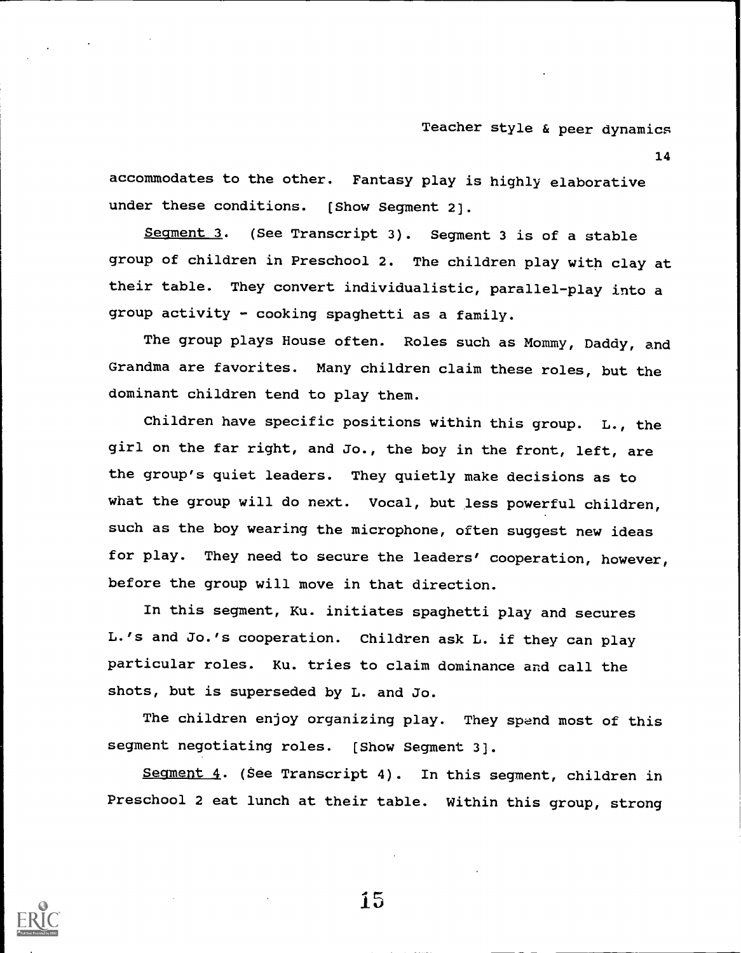14

accommodates to the other. Fantasy play is highly elaborative under these conditions. [Show Segment 2].

Seqment 3. (See Transcript 3). Seqment 3 is of a stable group of children in Preschool 2. The children play with clay at their table. They convert individualistic, parallel-play into a group activity - cooking spaghetti as a family.

The group plays House often. Roles such as Mommy, Daddy, and Grandma are favorites. Many children claim these roles, but the dominant children tend to play them.

Children have specific positions within this group. L., the girl on the far right, and Jo., the boy in the front, left, are the group's quiet leaders. They quietly make decisions as to what the group will do next. Vocal, but less powerful children, such as the boy wearing the microphone, often suggest new ideas for play. They need to secure the leaders' cooperation, however, before the group will move in that direction.

In this segment, Ku. initiates spaghetti play and secures L.'s and Jo.'s cooperation. Children ask L. if they can play particular roles. Ku. tries to claim dominance and call the shots, but is superseded by L. and Jo.

The children enjoy organizing play. They spend most of this segment negotiating roles. [Show Segment 3].

Segment 4. (See Transcript 4). In this segment, children in Preschool 2 eat lunch at their table. Within this group, strong

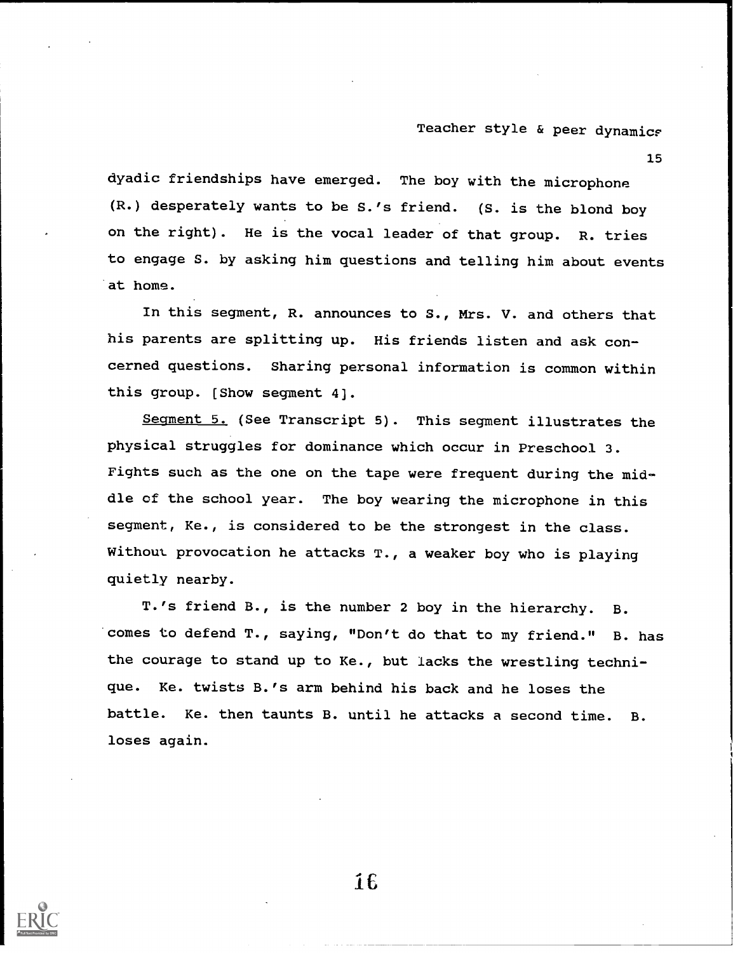15

dyadic friendships have emerged. The boy with the microphone (R.) desperately wants to be S.'s friend. (S. is the blond boy on the right). He is the vocal leader of that group. R. tries to engage S. by asking him questions and telling him about events at home.

In this segment, R. announces to S., Mrs. V. and others that his parents are splitting up. His friends listen and ask concerned questions. Sharing personal information is common within this group. [Show segment 4].

Seqment 5. (See Transcript 5). This segment illustrates the physical struggles for dominance which occur in Preschool 3. Fights such as the one on the tape were frequent during the middle of the school year. The boy wearing the microphone in this segment, Ke., is considered to be the strongest in the class. Without provocation he attacks T., a weaker boy who is playing quietly nearby.

T.'s friend B., is the number 2 boy in the hierarchy. B. comes to defend T., saying, "Don't do that to my friend." B. has the courage to stand up to Ke., but lacks the wrestling technique. Ke. twists B.'s arm behind his back and he loses the battle. Ke. then taunts B. until he attacks a second time. B. loses again.

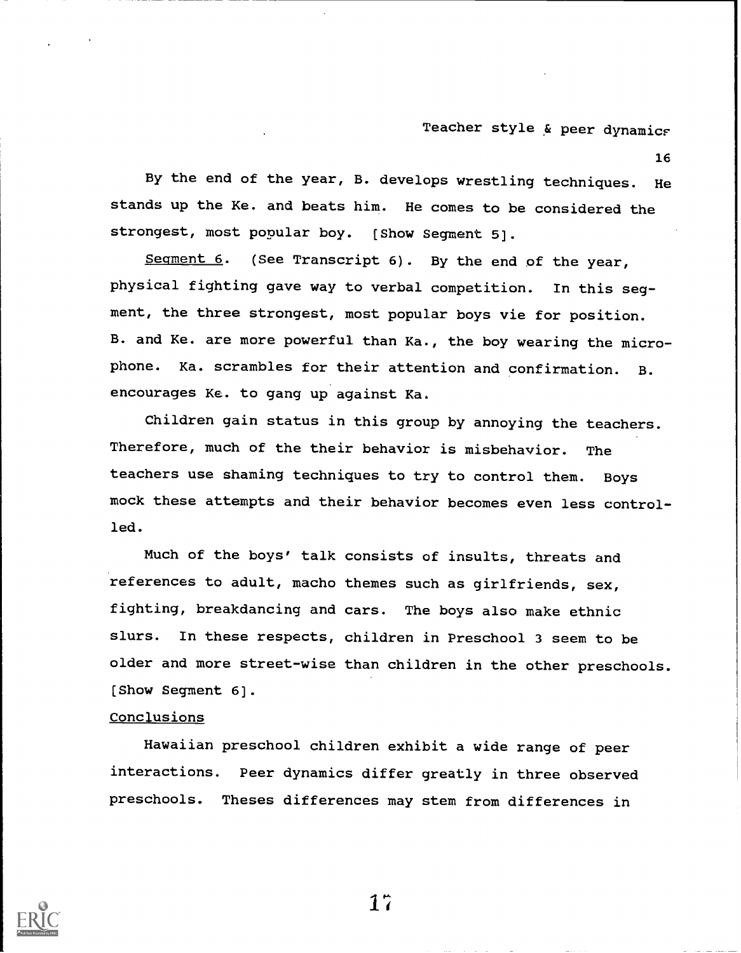16

By the end of the year, B. develops wrestling techniques. He stands up the Ke. and beats him. He comes to be considered the strongest, most popular boy. [Show Segment 5].

Seqment  $6$ . (See Transcript  $6$ ). By the end of the year, physical fighting gave way to verbal competition. In this segment, the three strongest, most popular boys vie for position. B. and Ke. are more powerful than Ka., the boy wearing the microphone. Ka. scrambles for their attention and confirmation. B. encourages Ke. to gang up against Ka.

Children gain status in this group by annoying the teachers. Therefore, much of the their behavior is misbehavior. The teachers use shaming techniques to try to control them. Boys mock these attempts and their behavior becomes even less controlled.

Much of the boys' talk consists of insults, threats and references to adult, macho themes such as girlfriends, sex, fighting, breakdancing and cars. The boys also make ethnic slurs. In these respects, children in Preschool 3 seem to be older and more street-wise than children in the other preschools. [Show Segment 6].

### **Conclusions**

Hawaiian preschool children exhibit a wide range of peer interactions. Peer dynamics differ greatly in three observed preschools. Theses differences may stem from differences in

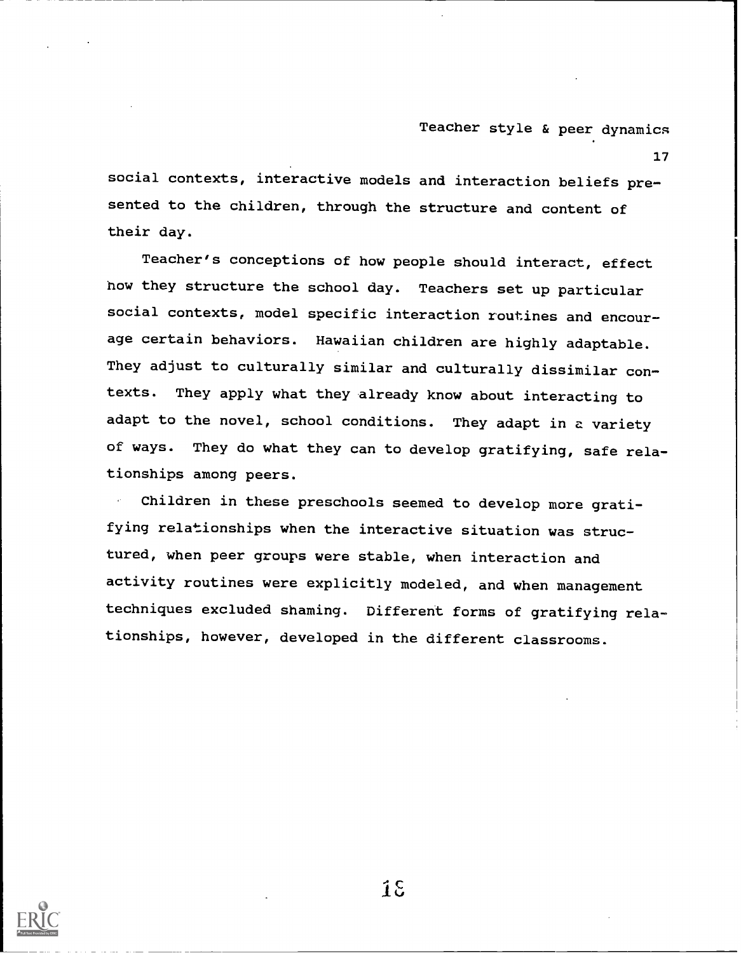17

social contexts, interactive models and interaction beliefs presented to the children, through the structure and content of their day.

Teacher's conceptions of how people should interact, effect how they structure the school day. Teachers set up particular social contexts, model specific interaction routines and encourage certain behaviors. Hawaiian children are highly adaptable. They adjust to culturally similar and culturally dissimilar contexts. They apply what they already know about interacting to adapt to the novel, school conditions. They adapt in a variety of ways. They do what they can to develop gratifying, safe relationships among peers.

Children in these preschools seemed to develop more gratifying relationships when the interactive situation was structured, when peer groups were stable, when interaction and activity routines were explicitly modeled, and when management techniques excluded shaming. Different forms of gratifying relationships, however, developed in the different classrooms.

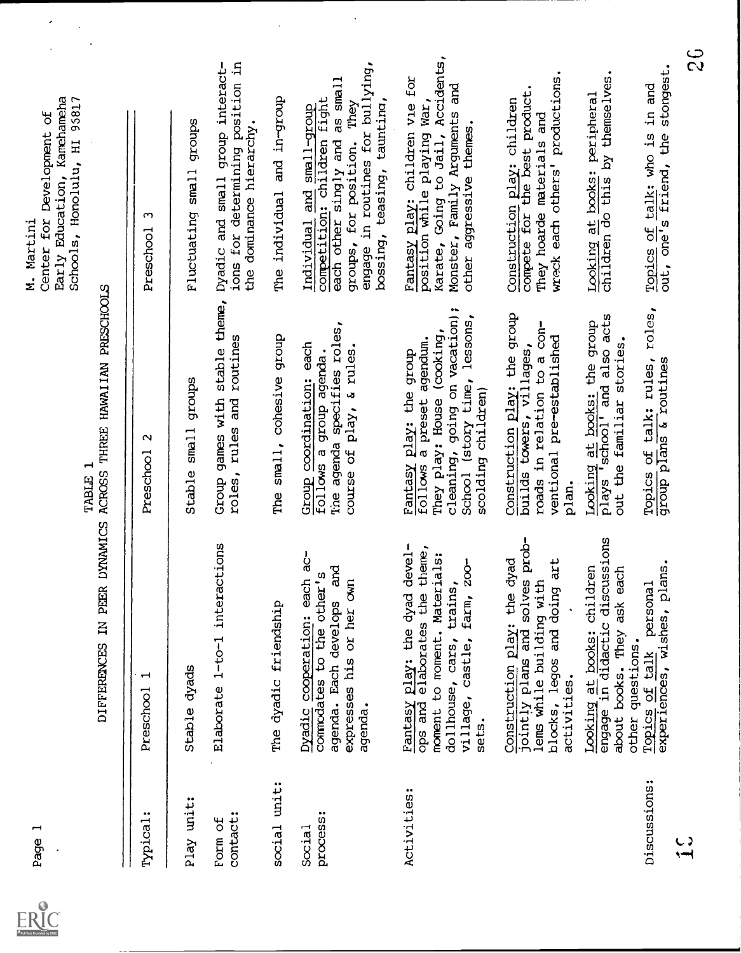

 $\ddot{\phantom{0}}$ 

| ⊣<br>Page                             |                                                                                                                                                                                        | TABLE                                                                                                                                                                           | Early Education, Kamehameha<br>95817<br>Center for Development of<br>Schools, Honolulu, HI<br>M. Martini                                                                                        |
|---------------------------------------|----------------------------------------------------------------------------------------------------------------------------------------------------------------------------------------|---------------------------------------------------------------------------------------------------------------------------------------------------------------------------------|-------------------------------------------------------------------------------------------------------------------------------------------------------------------------------------------------|
|                                       | IN PEER DYNAMICS<br><b>DIFFERENCES</b>                                                                                                                                                 | ACROSS THREE HAWAIIAN PRESCHOOLS                                                                                                                                                |                                                                                                                                                                                                 |
| Typical:                              | Preschool                                                                                                                                                                              | $\scriptstyle\sim$<br>Preschool                                                                                                                                                 | ç<br>Preschool                                                                                                                                                                                  |
| Play unit:                            | Stable dyads                                                                                                                                                                           | dronba<br>$s$ ma $11$<br>Stable                                                                                                                                                 | dronbs<br>Fluctuating small                                                                                                                                                                     |
| contact:<br>Form of                   | Elaborate 1-to-1 interactions                                                                                                                                                          | stable theme,<br>routines<br>Group games with<br>and<br>rules<br>roles,                                                                                                         | for determining position in<br>Dyadic and small group interact-<br>the dominance hierarchy.<br>ions                                                                                             |
| social unit:                          | The dyadic friendship                                                                                                                                                                  | The small, cohesive group                                                                                                                                                       | The individual and in-group                                                                                                                                                                     |
| $\bullet\bullet$<br>process<br>Social | Dyadic cooperation: each ac-<br>and<br>other's<br>expresses his or her own<br>agenda. Each develops<br>to the<br>commodates<br>agenda.                                                 | Tine agenda specifies roles,<br>Group coordination: each<br>course of play, a rules.<br>follows a group agenda.                                                                 | engage in routines for bullying,<br>as small<br>competition: children fight<br>bossing, teasing, taunting,<br>groups, for position. They<br>Individual and small-group<br>each other singly and |
| Activities:                           | devel-<br>theme,<br>moment to moment. Materials:<br>$200-$<br>trains,<br>Fantasy play: the dyad<br>elaborates the<br>farm,<br>dollhouse, cars,<br>village, castle,<br>ops and<br>sets. | going on vacation);<br>School (story time, lessons,<br>They play: House (cooking,<br>a preset agendum.<br>Fantasy play: the group<br>scolding children)<br>cleaning,<br>follows | Accidents,<br>Fantasy play: children vie for<br>Monster, Family Arguments and<br>position while playing War,<br>other aggressive themes.<br>Karate, Going to Jail,                              |
|                                       | jointly plans and solves prob-<br>bekp<br>blocks, legos and doing art<br>lems while building with<br>Construction play: the<br>activities.                                             | Construction play: the group<br>roads in relation to a con-<br>ventional pre <del>-</del> established<br>builds towers, villages,<br>roads in relation to<br>plan.              | productions.<br>the best product.<br>Construction play: children<br>They hoarde materials and<br>wreck each others'<br>compete for                                                              |
|                                       | Looking at books: children<br>engage in didactic discussions<br>each<br>ask<br>about books. They<br>other questions.                                                                   | Looking at books: the group<br>plays 'school' and also acts<br>out the familiar stories.                                                                                        | Looking at books: peripheral<br>children do this by themselves.                                                                                                                                 |
| Discussions:                          | experiences, wishes, plans.<br>personal<br>Topics of talk                                                                                                                              | roles,<br>Topics of talk: rules,<br>group plans & routines                                                                                                                      | Topics of talk: who is in and<br>out, one's friend, the stongest.                                                                                                                               |
| $\tilde{\mathbf{f}}$                  |                                                                                                                                                                                        |                                                                                                                                                                                 | $\frac{c}{c}$                                                                                                                                                                                   |
|                                       |                                                                                                                                                                                        |                                                                                                                                                                                 |                                                                                                                                                                                                 |

 $\ddot{\phantom{0}}$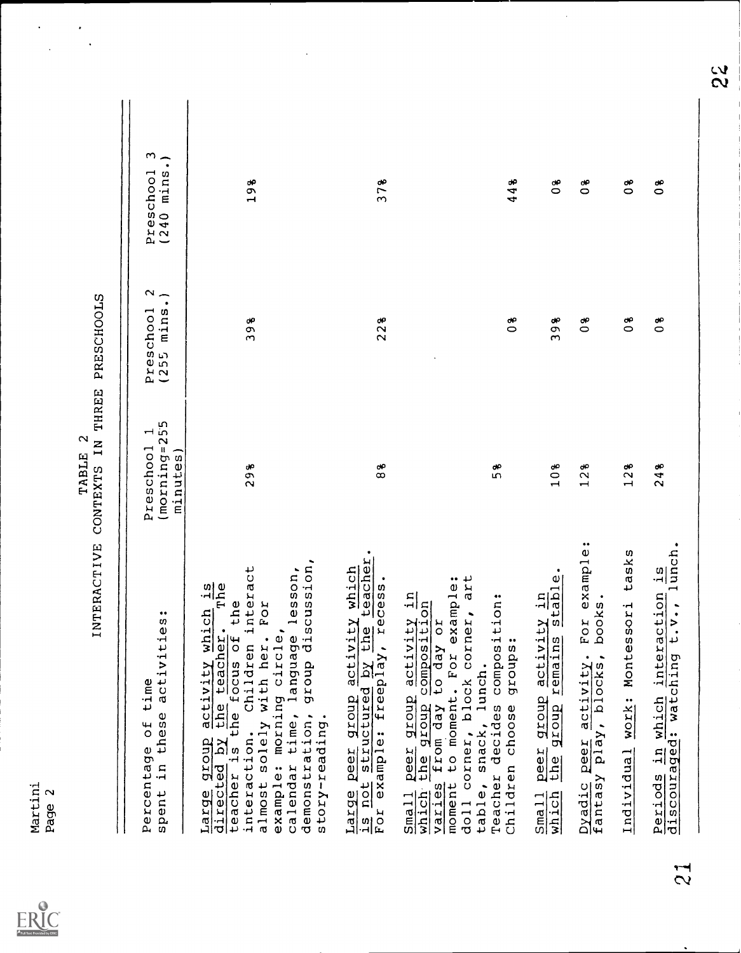$ER_{\text{sc}}^{\text{O}}$ 

|                | ;<br>)<br>}                            |
|----------------|----------------------------------------|
|                | ים וחות ה<br>į                         |
| į<br>$\mathbf$ | <b>N</b><br>i                          |
| TARIE          | <b>CENTERATION</b><br>$-1$             |
|                | <b>TNEDDACETI</b><br>${1\over 2}$<br>Í |

 $\ddot{\phantom{0}}$ 

 $\ddot{\phantom{0}}$ 

| activities:<br>time<br>these<br>$\overline{c}$<br>Percentage<br>spent in                                                                                                                                                                                                                                                      | $(morning = 255$<br>$\mathbf{\mathbf{\mathbf{\mathsf{H}}}}$<br>Preschool<br>minutes) | Preschool 2<br>(255 mins.) | m<br>$\widehat{\phantom{a}}$<br>(240 minns<br>Preschool |
|-------------------------------------------------------------------------------------------------------------------------------------------------------------------------------------------------------------------------------------------------------------------------------------------------------------------------------|--------------------------------------------------------------------------------------|----------------------------|---------------------------------------------------------|
| ssion,<br>ction. Children interact<br>solely with her. Por<br>sson,<br>$rac{15}{10}$<br>the<br>Large group activity which<br>directed by the teacher.<br>teacher is the focus of th<br>example: morning circle,<br>calendar time, language le<br>discu<br>dronb<br>demonstration,<br>story-reading.<br>interaction.<br>almost | 298                                                                                  | 398                        | 198                                                     |
| Large peer group activity which<br>is not structured by the teacher.<br>For example: freeplay, recess.                                                                                                                                                                                                                        | $\frac{9}{8}$                                                                        | 228                        | 378                                                     |
| art<br>For example:<br>Small peer group activity in<br>which the group composition<br>varies from day to day or<br>varies from day to day or<br>Teacher decides composition:<br>Children choose groups:<br>doll corner, block corner,<br>table, snack, lunch.                                                                 | 58                                                                                   | $\frac{8}{3}$              | 44%                                                     |
| stable.<br>$\mathbf{u}$<br>activity<br>the group remains<br>peer group<br>$\frac{\text{Small}}{\text{which}}$                                                                                                                                                                                                                 | 10%                                                                                  | 398                        | $\frac{8}{3}$                                           |
| example:<br>books.<br>FOI<br>fantasy play, blocks,<br>Dyadic peer activity.                                                                                                                                                                                                                                                   | 128                                                                                  | $\frac{8}{3}$              | $\frac{8}{3}$                                           |
| tasks<br>Individual work: Montessori                                                                                                                                                                                                                                                                                          | 12 <sup>8</sup>                                                                      | $\overset{\bullet}{\circ}$ | 9<br>O                                                  |
| $1$ unch.<br>$\frac{1}{1}$ S<br>in which interaction<br>$\ddot{\phantom{0}}$<br>discouraged: watching t.v.<br>Periods                                                                                                                                                                                                         | 24%                                                                                  | $\frac{8}{3}$              | 0 <sup>8</sup>                                          |

 $\ddot{\phantom{0}}$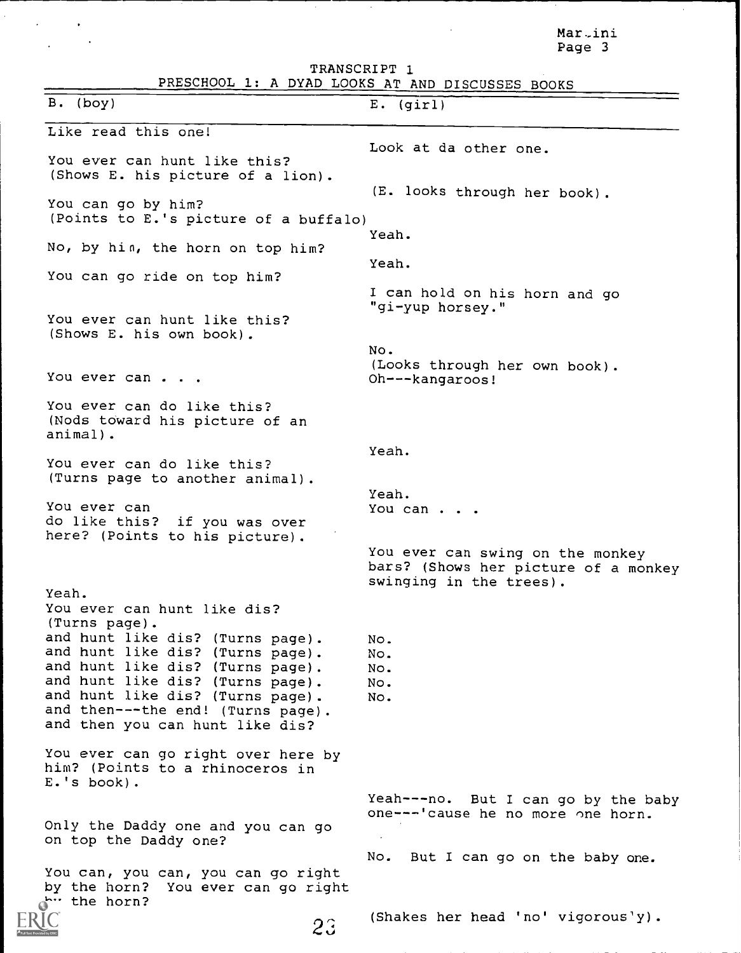Mar-ini Page 3

TRANSCRIPT 1 PRESCHOOL 1: A DYAD LOOKS AT AND DISCUSSES BOOKS B. (boy) E. (girl) Like read this one! You ever can hunt like this? (Shows E. his picture of a lion) Look at da other one. (E. looks through her book). You can go by him? (Points to E.'s picture of a buffalo) Yeah. No, by hin, the horn on top him? Yeah. You can go ride on top him? I can hold on his horn and go "gi-yup horsey." You ever can hunt like this? (Shows E. his own book). No. (Looks through her own book). You ever can . . . Oh---kangaroos! You ever can do like this? (Nods toward his picture of an animal). You ever can do like this? (Turns page to another animal). You ever can<br>do like this? if you was over here? (Points to his picture). Yeah. You ever can hunt like dis? (Turns page). and hunt like dis? (Turns page). and hunt like dis? (Turns page). and hunt like dis? (Turns page). and hunt like dis? (Turns page). and hunt like dis? (Turns page). and then---the end! (Turns page). and then you can hunt like dis? You ever can go right over here by him? (Points to a rhinoceros in E.'s book). Only the Daddy one and you can go on top the Daddy one? Yeah. Yeah. You can . . . You ever can swing on the monkey bars? (Shows her picture of a monkey swinging in the trees). No. No. No. No. No. Yeah---no. But I can go by the baby one---'cause he no more one horn.

23

You can, you can, you can go right You ever can go right by the horn?

(Shakes her head 'no' vigorous'y).

No. But I can go on the baby one.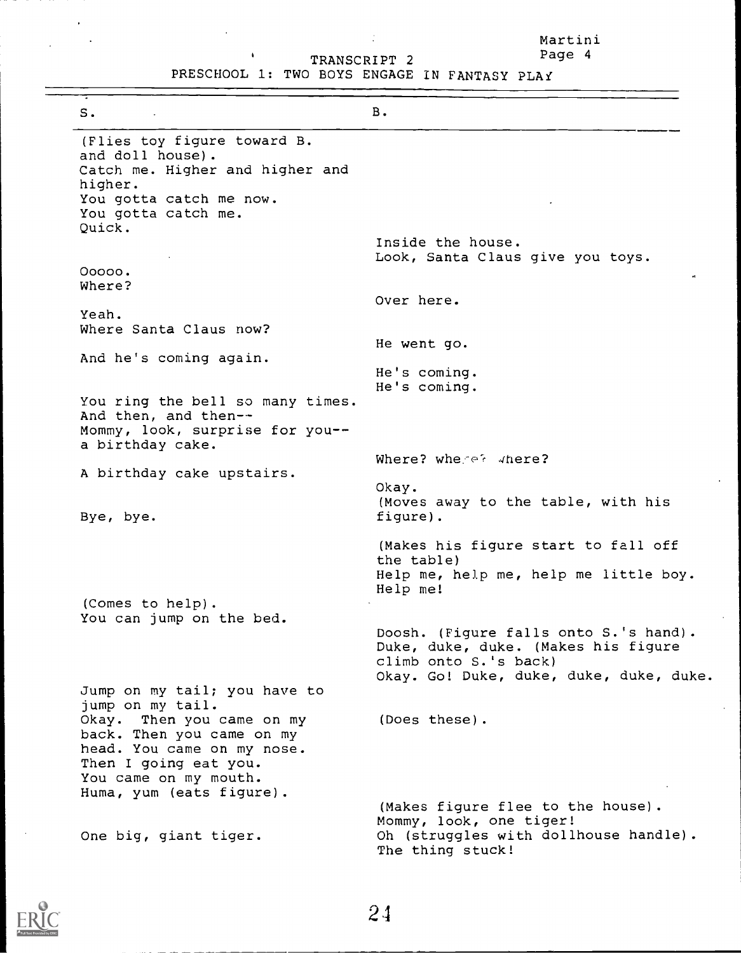Martini TRANSCRIPT 2 Page 4

PRESCHOOL 1: TWO BOYS ENGAGE IN FANTASY PLAi

Ŷ,

| s.                                                                                                                                                                 | <b>B.</b>                                                                                                                                        |
|--------------------------------------------------------------------------------------------------------------------------------------------------------------------|--------------------------------------------------------------------------------------------------------------------------------------------------|
| (Flies toy figure toward B.<br>and doll house).<br>Catch me. Higher and higher and<br>higher.                                                                      |                                                                                                                                                  |
| You gotta catch me now.<br>You gotta catch me.<br>Quick.                                                                                                           |                                                                                                                                                  |
| $00000$ .                                                                                                                                                          | Inside the house.<br>Look, Santa Claus give you toys.                                                                                            |
| Where?                                                                                                                                                             | Over here.                                                                                                                                       |
| Yeah.<br>Where Santa Claus now?                                                                                                                                    | He went go.                                                                                                                                      |
| And he's coming again.                                                                                                                                             | He's coming.                                                                                                                                     |
| You ring the bell so many times.<br>And then, and then--<br>Mommy, look, surprise for you--<br>a birthday cake.                                                    | He's coming.                                                                                                                                     |
| A birthday cake upstairs.                                                                                                                                          | Where? where? where?                                                                                                                             |
| Bye, bye.                                                                                                                                                          | Okay.<br>(Moves away to the table, with his<br>figure).                                                                                          |
|                                                                                                                                                                    | (Makes his figure start to fall off<br>the table)<br>Help me, help me, help me little boy.<br>Help me!                                           |
| (Comes to help).<br>You can jump on the bed.                                                                                                                       |                                                                                                                                                  |
|                                                                                                                                                                    | Doosh. (Figure falls onto S.'s hand).<br>Duke, duke, duke. (Makes his figure<br>climb onto S.'s back)<br>Okay. Go! Duke, duke, duke, duke, duke. |
| Jump on my tail; you have to<br>jump on my tail.                                                                                                                   |                                                                                                                                                  |
| Okay. Then you came on my<br>back. Then you came on my<br>head. You came on my nose.<br>Then I going eat you.<br>You came on my mouth.<br>Huma, yum (eats figure). | (Does these).                                                                                                                                    |
| One big, giant tiger.                                                                                                                                              | (Makes figure flee to the house).<br>Mommy, look, one tiger!<br>Oh (struggles with dollhouse handle).<br>The thing stuck!                        |



 $\bar{1}$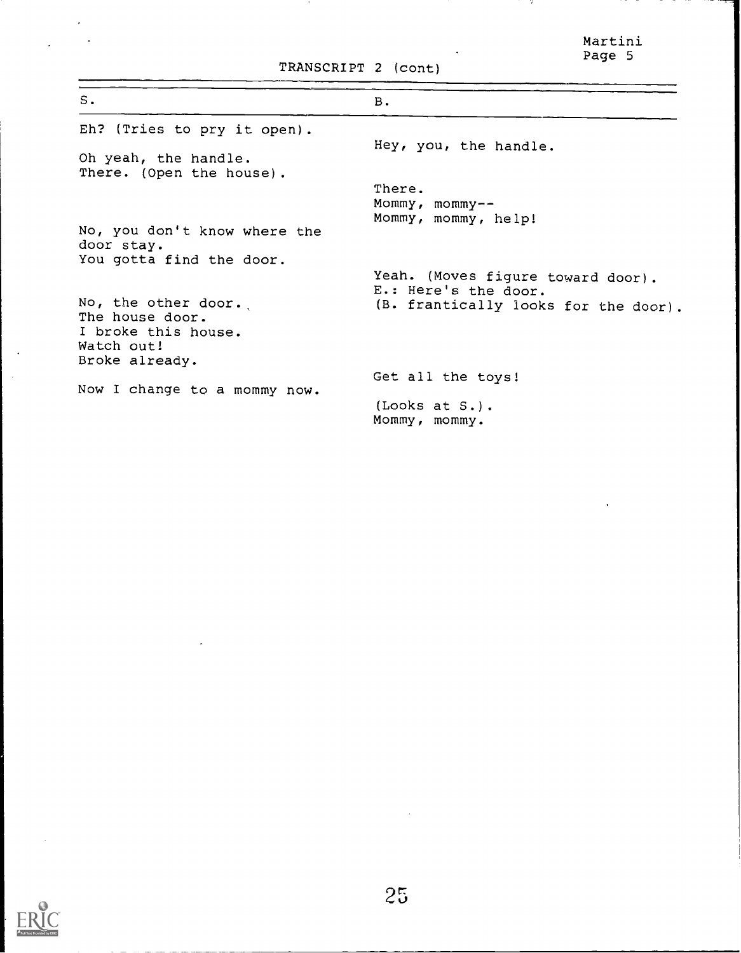Martini Page 5

-76

TRANSCRIPT 2 (cont)

| s.                                                                                            | <b>B.</b>                                                 |
|-----------------------------------------------------------------------------------------------|-----------------------------------------------------------|
| Eh? (Tries to pry it open).                                                                   |                                                           |
| Oh yeah, the handle.<br>There. (Open the house).                                              | Hey, you, the handle.                                     |
|                                                                                               | There.                                                    |
|                                                                                               | Mommy, mommy--                                            |
|                                                                                               | Mommy, mommy, help!                                       |
| No, you don't know where the<br>door stay.                                                    |                                                           |
| You gotta find the door.                                                                      |                                                           |
|                                                                                               | Yeah. (Moves figure toward door).<br>E.: Here's the door. |
| No, the other door.<br>The house door.<br>I broke this house.<br>Watch out!<br>Broke already. | (B. frantically looks for the door).                      |
|                                                                                               | Get all the toys!                                         |
| Now I change to a mommy now.                                                                  | $(Looks at S.$ .<br>Mommy, mommy.                         |

 $\ddot{\phantom{0}}$ 

 $\ddot{\phantom{1}}$ 

 $\sim$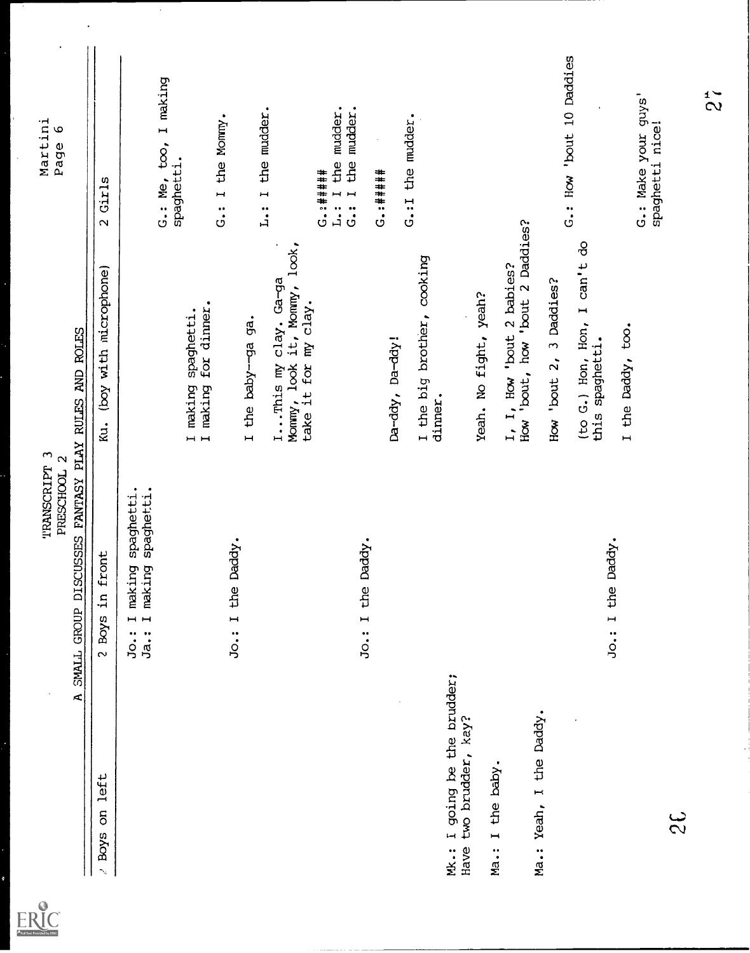| Martini<br>$\circ$<br>Page                                                        | 2 Girls                                        |                                                                                         | G.: Me, too, I making<br>spaghetti. |                                             | G.: I the Mommy.  |                   | L.: I the mudder.                                                                                     | the mudder.<br>$G. 2 + 1 + 1 + 1$<br>L: I | mudder.<br>the<br>G.: I | $G. : + + + + + + +$ | G.: I the mudder. |                                       |                                            |                                                                |                         | G.: How 'bout 10 Daddies                        |                   | G.: Make your guys'<br>spaghetti nice! | $\tilde{z}$ |
|-----------------------------------------------------------------------------------|------------------------------------------------|-----------------------------------------------------------------------------------------|-------------------------------------|---------------------------------------------|-------------------|-------------------|-------------------------------------------------------------------------------------------------------|-------------------------------------------|-------------------------|----------------------|-------------------|---------------------------------------|--------------------------------------------|----------------------------------------------------------------|-------------------------|-------------------------------------------------|-------------------|----------------------------------------|-------------|
|                                                                                   | (boy with microphone)<br>κu.                   |                                                                                         |                                     | I making spaghetti.<br>I making for dinner. |                   | I the baby-ga ga. | IThis my clay. Ga-ga<br>Mommy, look it, Mommy, look,<br>Monmy, look it, Monmy<br>take it for my clay. |                                           |                         |                      | Da-ddy, Da-ddy!   | I the big brother, cooking<br>dinner. | Yeah. No fight, yeah?                      | $I, I,$ How 'bout 2 babies?<br>How 'bout, how 'bout 2 Daddies? | How 'bout 2, 3 Daddies? | (to G.) Hon, Hon, I can't do<br>this spaghetti. | I the Daddy, too. |                                        |             |
| SMALL GROUP DISCUSSES FANTASY PLAY RULES AND ROLES<br>TRANSCRIPT 3<br>PRESCHOOL 2 | front<br>$\mathbf{H}$<br><b>Boys</b><br>$\sim$ | spaghetti.<br>spaghetti.<br>naking<br>Ja.: I making<br>$\overline{a}$<br>$J_{\rm O}$ .: |                                     |                                             | Jo.: I the Daddy. |                   |                                                                                                       |                                           | the Daddy.<br>Jo.: I    |                      |                   |                                       |                                            |                                                                |                         |                                                 | Jo.: I the Daddy. |                                        |             |
| Ā,                                                                                | / Boys on left                                 |                                                                                         |                                     |                                             |                   |                   |                                                                                                       |                                           |                         |                      |                   | Mk.: I going be the brudder;          | Have two brudder, kay?<br>Ma.: I the baby. |                                                                | Ma.: Yeah, I the Daddy. |                                                 |                   | $\mathfrak{L}% _{2}^{2}(\Omega)$       |             |
| ERIC                                                                              |                                                |                                                                                         |                                     |                                             |                   |                   |                                                                                                       |                                           |                         |                      |                   |                                       |                                            |                                                                |                         |                                                 |                   |                                        |             |

 $\overline{\mathcal{A}}$ 

 $\ddot{\phantom{0}}$ 

 $\ddot{\phantom{0}}$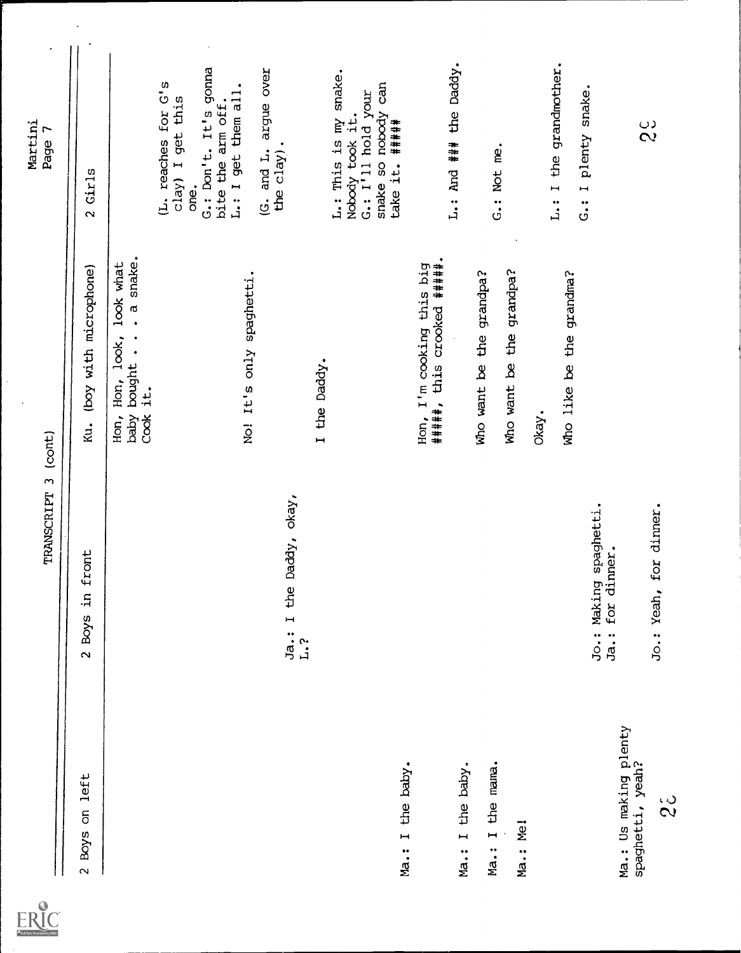

 $\hat{\boldsymbol{\epsilon}}$ 

 $\overline{\phantom{a}}$ 

 $\ddot{\phantom{0}}$ 

 $\frac{1}{2}$ 

|                                           | TRANSCRIPT 3 (cont)                                          |                                                                  | Page 7                                                                                     |
|-------------------------------------------|--------------------------------------------------------------|------------------------------------------------------------------|--------------------------------------------------------------------------------------------|
| Boys on left<br>$\overline{\mathbf{c}}$   | in front<br>$2$ Boys                                         | (boy with microphone)<br>Ku.                                     | 2 Girls                                                                                    |
|                                           |                                                              | baby bought a snake.<br>Hon, look, look what<br>Cook it.<br>Hon, |                                                                                            |
|                                           |                                                              |                                                                  | (L. reaches for G's<br>clay) I get this                                                    |
|                                           |                                                              |                                                                  | G.: Don't. It's gonna<br>L.: I get them all.<br>bite the arm off.<br>one.                  |
|                                           |                                                              | No! It's only spaghetti.                                         | (G. and L. argue over                                                                      |
|                                           | the Daddy, okay,<br>Ja.:I<br>L.2                             |                                                                  | the clay).                                                                                 |
|                                           |                                                              | I the Daddy.                                                     | L.: This is my snake.                                                                      |
|                                           |                                                              |                                                                  | snake so nobody can<br>G.: $I^{\dagger}$ 11 hold your<br>Nobody took it.<br>take it. ##### |
| the baby.<br>$Ma$ .: I                    |                                                              |                                                                  |                                                                                            |
|                                           |                                                              | ######, this crooked #####.<br>I'm cooking this big<br>Hon,      | L.: And ### the Daddy.                                                                     |
| the baby.<br>$\overline{a}$<br>Ma.:       |                                                              |                                                                  |                                                                                            |
| I the mama.<br>Ma.:                       |                                                              | Who want be the grandpa?                                         | G.: Not me.                                                                                |
| Ma.: Me!                                  |                                                              | Who want be the grandpa?                                         |                                                                                            |
|                                           |                                                              | Okay.                                                            |                                                                                            |
|                                           |                                                              | Who like be the grandma?                                         | L.: I the grandmother.                                                                     |
|                                           | Making spaghetti.<br>dinner.<br>for<br>$J_{\circ}$ :<br>Ja.: |                                                                  | plenty snake.<br>G. : I                                                                    |
| Ma.: Us making plenty<br>spaghetti, yeah? |                                                              |                                                                  |                                                                                            |
| $\frac{3}{2}$                             | Jo.: Yeah, for dinner.                                       |                                                                  | $\frac{c}{2}$                                                                              |
|                                           |                                                              |                                                                  |                                                                                            |
|                                           |                                                              |                                                                  |                                                                                            |
|                                           |                                                              |                                                                  |                                                                                            |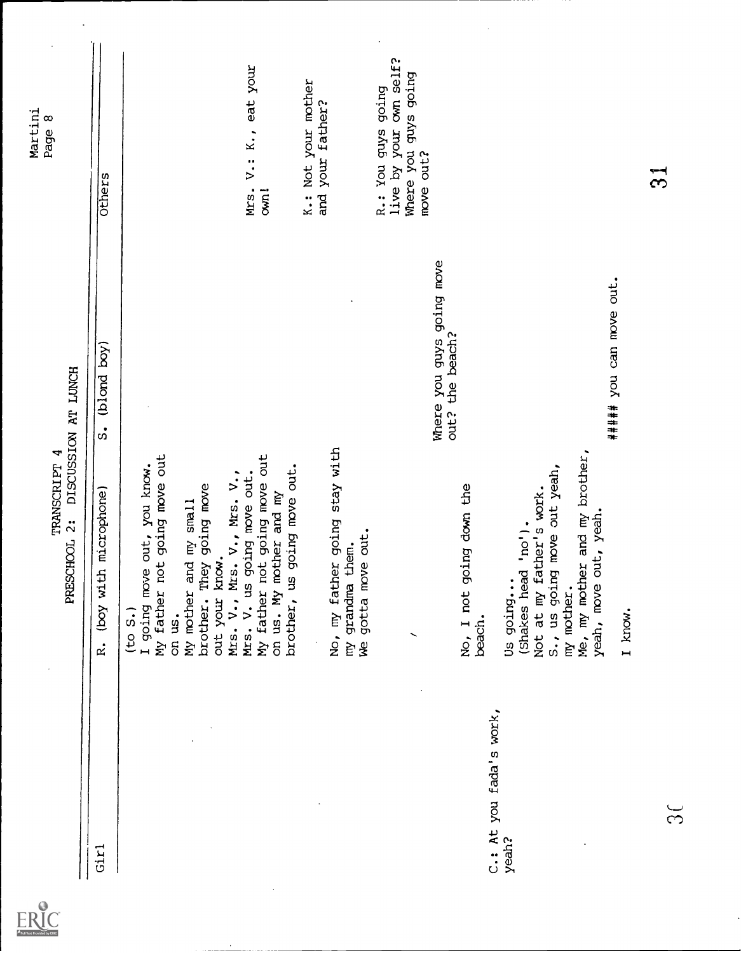

 $\ddot{\phantom{a}}$ 

 $\ddot{\phantom{a}}$ 

# TRANSCRIPT 4<br>PRESCHOOL 2: DISCUSSION AT LUNCH Page 8

| Girl                             | (boy with microphone)<br>$\vec{R}$ .                                                                                                                                                                                                                                                                                               | (blond boy)<br>$\ddot{\text{S}}$             | Others                                                                            |
|----------------------------------|------------------------------------------------------------------------------------------------------------------------------------------------------------------------------------------------------------------------------------------------------------------------------------------------------------------------------------|----------------------------------------------|-----------------------------------------------------------------------------------|
|                                  | My father not going move out<br>My father not going move out<br>I going move out, you know.<br>brother, us going move out.<br>Mrs. $V_{\bullet}$ , Mrs. $V_{\bullet}$ , Mrs. $V_{\bullet}$ , $V_{\bullet}$<br>brother. They going move<br>on us. My mother and my<br>My mother and my small<br>out your know.<br>(to S.)<br>on us. |                                              | Mrs. V.: K., eat your<br>com <sub>i</sub>                                         |
|                                  | No, my father going stay with<br>gotta move out.<br>grandma them.<br>È<br>g                                                                                                                                                                                                                                                        |                                              | K.: Not your mother<br>and your father?                                           |
|                                  | No, I not going down the                                                                                                                                                                                                                                                                                                           | Where you guys going move<br>out? the beach? | live by your own self?<br>Where you guys going<br>move out?<br>R.: You guys going |
| C.: At you fada's work,<br>yeah? | Me, my mother and my brother,<br>S., us going move out yeah,<br>work.<br>yeah, move out, yeah.<br>(Shakes head 'no').<br>Not at my father's<br>Us going<br>my mother.<br>beach.                                                                                                                                                    |                                              |                                                                                   |
| స్                               | I know.                                                                                                                                                                                                                                                                                                                            | ##### you can move out.                      | က်                                                                                |
|                                  |                                                                                                                                                                                                                                                                                                                                    |                                              |                                                                                   |

 $\overline{\phantom{a}}$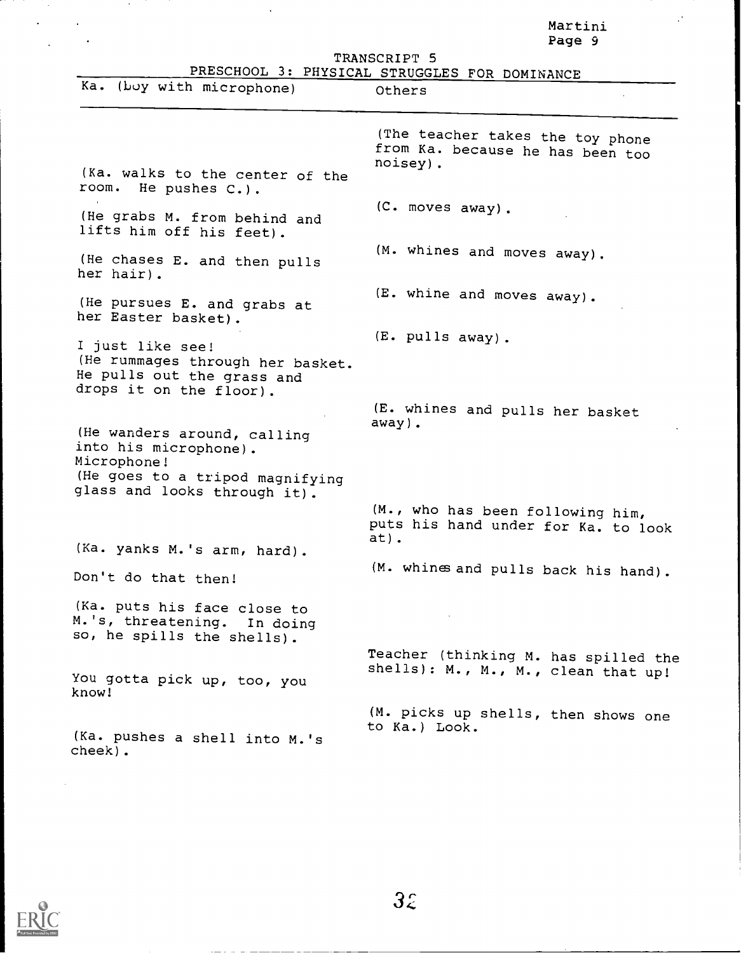|                                                                                                                                        | Martini<br>Page 9                                                                |
|----------------------------------------------------------------------------------------------------------------------------------------|----------------------------------------------------------------------------------|
|                                                                                                                                        | TRANSCRIPT 5                                                                     |
|                                                                                                                                        | PRESCHOOL 3: PHYSICAL STRUGGLES FOR DOMINANCE                                    |
| Ka. (boy with microphone)                                                                                                              | Others                                                                           |
|                                                                                                                                        |                                                                                  |
|                                                                                                                                        | (The teacher takes the toy phone<br>from Ka. because he has been too<br>noisey). |
| (Ka. walks to the center of the<br>room. He pushes C.).                                                                                |                                                                                  |
| (He grabs M. from behind and<br>lifts him off his feet).                                                                               | (C. moves away).                                                                 |
| (He chases E. and then pulls<br>her hair).                                                                                             | (M. whines and moves away).                                                      |
| (He pursues E. and grabs at<br>her Easter basket).                                                                                     | (E. whine and moves away).                                                       |
|                                                                                                                                        | (E. pulls away).                                                                 |
| I just like see!<br>(He rummages through her basket.<br>He pulls out the grass and<br>drops it on the floor).                          |                                                                                  |
|                                                                                                                                        | (E. whines and pulls her basket<br>$away$ ).                                     |
| (He wanders around, calling<br>into his microphone).<br>Microphone!<br>(He goes to a tripod magnifying<br>glass and looks through it). |                                                                                  |
|                                                                                                                                        | (M., who has been following him,<br>puts his hand under for Ka. to look<br>at).  |
| (Ka. yanks M.'s arm, hard).                                                                                                            |                                                                                  |
| Don't do that then!                                                                                                                    | (M. whines and pulls back his hand).                                             |
| (Ka. puts his face close to<br>M.'s, threatening. In doing<br>so, he spills the shells).                                               |                                                                                  |
| You gotta pick up, too, you<br>know!                                                                                                   | Teacher (thinking M. has spilled the<br>shells): M., M., M., clean that up!      |
|                                                                                                                                        | (M. picks up shells, then shows one<br>to Ka.) Look.                             |
| (Ka. pushes a shell into M.'s<br>cheek).                                                                                               |                                                                                  |



 $\sim$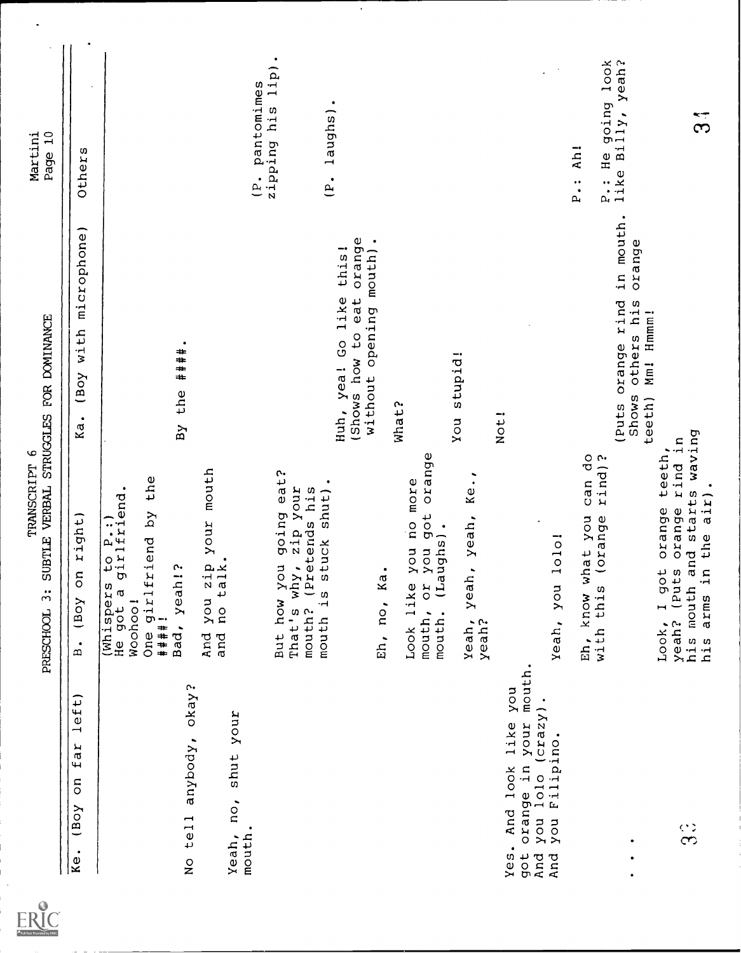| Full Text Provided by ERIC |
|----------------------------|

 $\ddot{\phantom{a}}$ 

|                                                                                                                             | SUBTLE VERBAL STRUGGLES FOR DOMINANCE<br>TRANSCRIPT 6<br>$\ddot{3}$<br>PRESCHOOL                                                                                            |                                                                                                         | Page 10<br>Martini                                                         |
|-----------------------------------------------------------------------------------------------------------------------------|-----------------------------------------------------------------------------------------------------------------------------------------------------------------------------|---------------------------------------------------------------------------------------------------------|----------------------------------------------------------------------------|
| lett)<br>far<br>So<br>YOB()<br>$\bullet$<br><b>xe</b>                                                                       | right)<br>So<br>(Boy<br>$\bullet$<br>$\hat{\mathbf{r}}$                                                                                                                     | microphone)<br>with<br>(Boy<br>Ka.                                                                      | Others                                                                     |
| No tell anybody, okay?                                                                                                      | you zip your mouth<br>no talk.<br>one girlfriend by the<br>####!<br>to P.:)<br>girlfriend<br>$\mathfrak{c}$<br>Bad, yeah!<br>(Whispers<br>He got a<br>Woohoo!<br>and<br>And | ٠<br>####<br>the<br>By                                                                                  |                                                                            |
| Yeah, no, shut your<br>mouth.                                                                                               | eat?<br>shut).<br>zip your<br>his<br>going<br>(Pretends<br>tuck<br>But how you<br>why<br>$\omega$<br>$\frac{5}{1}$<br>That's<br>mouth?<br>mouth                             |                                                                                                         | $\bullet$<br>1ip)<br>(P. pantomimes<br>zipping his<br>laughs)<br>$\dot{e}$ |
|                                                                                                                             | Ka<br>Eh, no,                                                                                                                                                               | orange<br>opening mouth).<br>Huh, yea! Go like this!<br>eat<br>(Shows how to<br>without                 | ٠                                                                          |
|                                                                                                                             | got orange<br>$Ke1$ ,<br>you no more<br>yeah,<br>mouth. (Laughs).<br>you<br>$\ddot{\phantom{0}}$<br>yeah<br>Or<br>Look like<br>mouth,<br>yeah,<br>yeah?                     | You stupid!<br>What?                                                                                    |                                                                            |
| mouth.<br>$y$ on<br>$1010$ (crazy).<br>orange in your<br>And look like<br>you Filipino.<br>you<br>Yes.<br>got<br>And<br>And | 10101<br>Yeah, you                                                                                                                                                          | Not!                                                                                                    |                                                                            |
| $\bullet$                                                                                                                   | $\frac{0}{\sigma}$<br>rind)?<br>can<br>(orange<br>hat you<br>Eh, know w<br>with this                                                                                        | in mouth.<br>orange<br>orange rind<br>others his<br>Hmmm!<br>$\overline{M}$<br>Shows<br>teeth)<br>(Puts | P.: He going look<br>like Billy, yeah?<br>kh!<br>$\ddot{P}$ .              |
| $\Im$                                                                                                                       | starts waving<br>rind in<br>teeth,<br>air).<br>orange<br>orange<br>h and st<br>in the<br>Look, I got<br>yeah? (Puts<br>his mouth<br>arms<br>his                             |                                                                                                         | ွ<br>၁                                                                     |
|                                                                                                                             |                                                                                                                                                                             |                                                                                                         |                                                                            |

Ţ